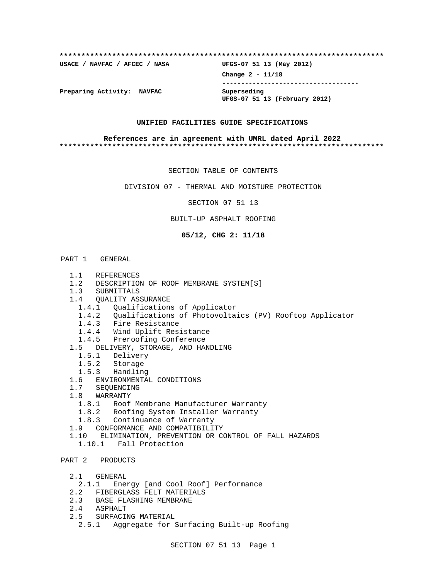| USACE / NAVFAC / AFCEC / NASA | UFGS-07 51 13 (May 2012) |
|-------------------------------|--------------------------|
|                               | Change $2 - 11/18$       |
|                               |                          |
| Preparing Activity: NAVFAC    | Superseding              |

**UFGS-07 51 13 (February 2012)**

#### **UNIFIED FACILITIES GUIDE SPECIFICATIONS**

#### **References are in agreement with UMRL dated April 2022 \*\*\*\*\*\*\*\*\*\*\*\*\*\*\*\*\*\*\*\*\*\*\*\*\*\*\*\*\*\*\*\*\*\*\*\*\*\*\*\*\*\*\*\*\*\*\*\*\*\*\*\*\*\*\*\*\*\*\*\*\*\*\*\*\*\*\*\*\*\*\*\*\*\***

SECTION TABLE OF CONTENTS

DIVISION 07 - THERMAL AND MOISTURE PROTECTION

SECTION 07 51 13

BUILT-UP ASPHALT ROOFING

**05/12, CHG 2: 11/18**

# PART 1 GENERAL

- 1.1 REFERENCES
- 1.2 DESCRIPTION OF ROOF MEMBRANE SYSTEM[S]
- 1.3 SUBMITTALS
- 1.4 QUALITY ASSURANCE
	- 1.4.1 Qualifications of Applicator
	- 1.4.2 Qualifications of Photovoltaics (PV) Rooftop Applicator
	- 1.4.3 Fire Resistance
	- 1.4.4 Wind Uplift Resistance
- 1.4.5 Preroofing Conference
- 1.5 DELIVERY, STORAGE, AND HANDLING
	- 1.5.1 Delivery
	- 1.5.2 Storage
	- 1.5.3 Handling
- 1.6 ENVIRONMENTAL CONDITIONS
- 1.7 SEQUENCING
- 1.8 WARRANTY
	- 1.8.1 Roof Membrane Manufacturer Warranty
	- 1.8.2 Roofing System Installer Warranty
	- 1.8.3 Continuance of Warranty
- 1.9 CONFORMANCE AND COMPATIBILITY
- 1.10 ELIMINATION, PREVENTION OR CONTROL OF FALL HAZARDS
- 1.10.1 Fall Protection

# PART 2 PRODUCTS

- 2.1 GENERAL
- 2.1.1 Energy [and Cool Roof] Performance
- 2.2 FIBERGLASS FELT MATERIALS
- 2.3 BASE FLASHING MEMBRANE
- 2.4 ASPHALT
- 2.5 SURFACING MATERIAL
	- 2.5.1 Aggregate for Surfacing Built-up Roofing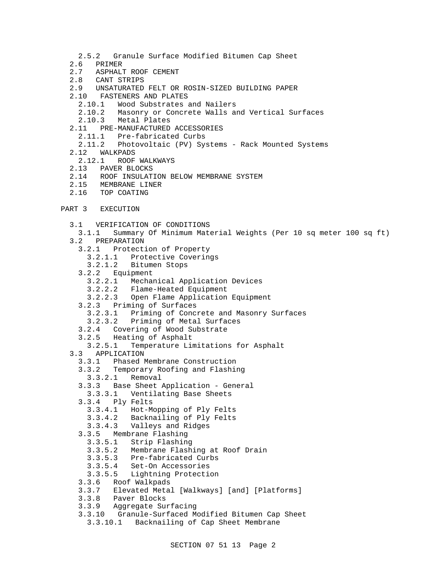- 2.5.2 Granule Surface Modified Bitumen Cap Sheet
- 2.6 PRIMER<br>2.7 ASPHALT
- 2.7 ASPHALT ROOF CEMENT
- 2.8 CANT STRIPS
- 2.9 UNSATURATED FELT OR ROSIN-SIZED BUILDING PAPER
- 2.10 FASTENERS AND PLATES
	- 2.10.1 Wood Substrates and Nailers
	- 2.10.2 Masonry or Concrete Walls and Vertical Surfaces
- Metal Plates
- 2.11 PRE-MANUFACTURED ACCESSORIES
	- 2.11.1 Pre-fabricated Curbs
- 2.11.2 Photovoltaic (PV) Systems Rack Mounted Systems
- 2.12 WALKPADS
- 2.12.1 ROOF WALKWAYS
- 2.13 PAVER BLOCKS
- 2.14 ROOF INSULATION BELOW MEMBRANE SYSTEM
- 2.15 MEMBRANE LINER
- 2.16 TOP COATING
- PART 3 EXECUTION
	- 3.1 VERIFICATION OF CONDITIONS
	- 3.1.1 Summary Of Minimum Material Weights (Per 10 sq meter 100 sq ft)
	- 3.2 PREPARATION
		- 3.2.1 Protection of Property
			- 3.2.1.1 Protective Coverings
			- 3.2.1.2 Bitumen Stops
		- 3.2.2 Equipment
			- 3.2.2.1 Mechanical Application Devices
			- 3.2.2.2 Flame-Heated Equipment
			- 3.2.2.3 Open Flame Application Equipment
		- 3.2.3 Priming of Surfaces
			- 3.2.3.1 Priming of Concrete and Masonry Surfaces
			- 3.2.3.2 Priming of Metal Surfaces
		- 3.2.4 Covering of Wood Substrate
		- 3.2.5 Heating of Asphalt
			- 3.2.5.1 Temperature Limitations for Asphalt
	- 3.3 APPLICATION<br>3.3.1 Phased I
		- Phased Membrane Construction
		- 3.3.2 Temporary Roofing and Flashing
			- 3.3.2.1 Removal
		- 3.3.3 Base Sheet Application General
		- 3.3.3.1 Ventilating Base Sheets
		- 3.3.4 Ply Felts
			- 3.3.4.1 Hot-Mopping of Ply Felts
			- 3.3.4.2 Backnailing of Ply Felts
		- 3.3.4.3 Valleys and Ridges
		- 3.3.5 Membrane Flashing
			- 3.3.5.1 Strip Flashing
			- 3.3.5.2 Membrane Flashing at Roof Drain
			- 3.3.5.3 Pre-fabricated Curbs
			- Set-On Accessories
			- 3.3.5.5 Lightning Protection
		- 3.3.6 Roof Walkpads
		- 3.3.7 Elevated Metal [Walkways] [and] [Platforms]
		- 3.3.8 Paver Blocks
		- 3.3.9 Aggregate Surfacing
		- 3.3.10 Granule-Surfaced Modified Bitumen Cap Sheet
		- 3.3.10.1 Backnailing of Cap Sheet Membrane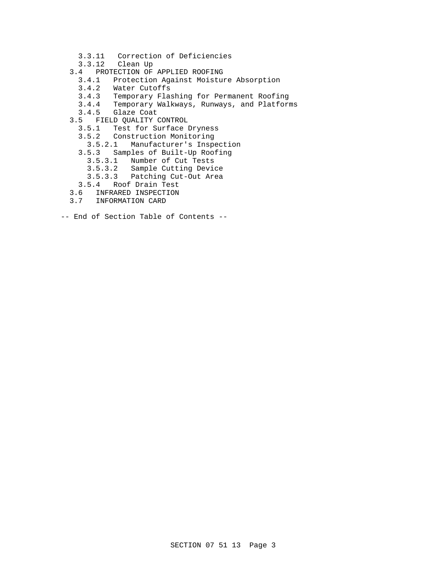- 3.3.11 Correction of Deficiencies
- 3.3.12 Clean Up
- 3.4 PROTECTION OF APPLIED ROOFING
	- 3.4.1 Protection Against Moisture Absorption
	- 3.4.2 Water Cutoffs
	- 3.4.3 Temporary Flashing for Permanent Roofing
	- 3.4.4 Temporary Walkways, Runways, and Platforms
	- Glaze Coat
- 3.5 FIELD QUALITY CONTROL
	- 3.5.1 Test for Surface Dryness
	- 3.5.2 Construction Monitoring
	- 3.5.2.1 Manufacturer's Inspection
	- 3.5.3 Samples of Built-Up Roofing
		- 3.5.3.1 Number of Cut Tests
		- 3.5.3.2 Sample Cutting Device
		- 3.5.3.3 Patching Cut-Out Area
	- 3.5.4 Roof Drain Test
- 3.6 INFRARED INSPECTION
- 3.7 INFORMATION CARD
- -- End of Section Table of Contents --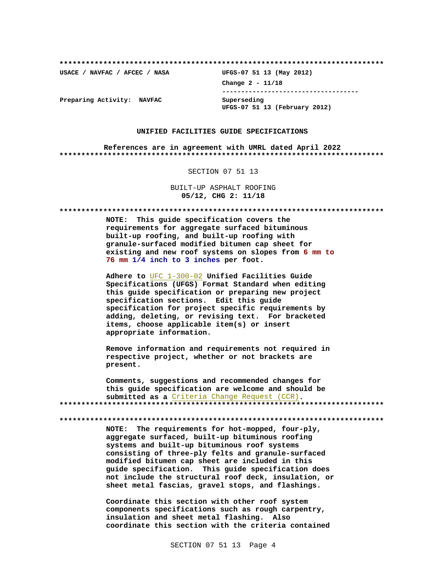USACE / NAVFAC / AFCEC / NASA

UFGS-07 51 13 (May 2012) Change  $2 - 11/18$ ------------------------------------Superseding UFGS-07 51 13 (February 2012)

Preparing Activity: NAVFAC

#### UNIFIED FACILITIES GUIDE SPECIFICATIONS

References are in agreement with UMRL dated April 2022 

SECTION 07 51 13

BUILT-UP ASPHALT ROOFING 05/12, CHG 2: 11/18

NOTE: This guide specification covers the requirements for aggregate surfaced bituminous built-up roofing, and built-up roofing with granule-surfaced modified bitumen cap sheet for existing and new roof systems on slopes from 6 mm to 76 mm 1/4 inch to 3 inches per foot.

Adhere to UFC 1-300-02 Unified Facilities Guide Specifications (UFGS) Format Standard when editing this guide specification or preparing new project specification sections. Edit this guide specification for project specific requirements by adding, deleting, or revising text. For bracketed items, choose applicable item(s) or insert appropriate information.

Remove information and requirements not required in respective project, whether or not brackets are present.

Comments, suggestions and recommended changes for this guide specification are welcome and should be submitted as a Criteria Change Request (CCR). 

NOTE: The requirements for hot-mopped, four-ply, aggregate surfaced, built-up bituminous roofing systems and built-up bituminous roof systems consisting of three-ply felts and granule-surfaced modified bitumen cap sheet are included in this guide specification. This guide specification does not include the structural roof deck, insulation, or sheet metal fascias, gravel stops, and flashings.

Coordinate this section with other roof system components specifications such as rough carpentry, insulation and sheet metal flashing. Also coordinate this section with the criteria contained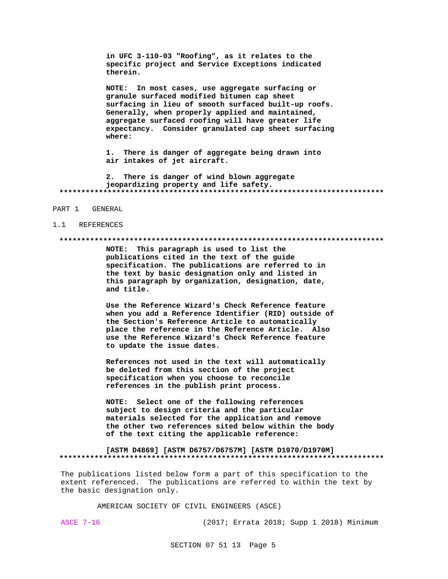in UFC 3-110-03 "Roofing", as it relates to the specific project and Service Exceptions indicated therein.

NOTE: In most cases, use aggregate surfacing or granule surfaced modified bitumen cap sheet surfacing in lieu of smooth surfaced built-up roofs. Generally, when properly applied and maintained, aggregate surfaced roofing will have greater life expectancy. Consider granulated cap sheet surfacing where:

1. There is danger of aggregate being drawn into air intakes of jet aircraft.

2. There is danger of wind blown aggregate jeopardizing property and life safety. 

#### PART 1 GENERAL

#### 1.1 REFERENCES

#### 

NOTE: This paragraph is used to list the publications cited in the text of the guide specification. The publications are referred to in the text by basic designation only and listed in this paragraph by organization, designation, date, and title.

Use the Reference Wizard's Check Reference feature when you add a Reference Identifier (RID) outside of the Section's Reference Article to automatically place the reference in the Reference Article. Also use the Reference Wizard's Check Reference feature to update the issue dates.

References not used in the text will automatically be deleted from this section of the project specification when you choose to reconcile references in the publish print process.

NOTE: Select one of the following references subject to design criteria and the particular materials selected for the application and remove the other two references sited below within the body of the text citing the applicable reference:

[ASTM D4869] [ASTM D6757/D6757M] [ASTM D1970/D1970M]

The publications listed below form a part of this specification to the extent referenced. The publications are referred to within the text by the basic designation only.

AMERICAN SOCIETY OF CIVIL ENGINEERS (ASCE)

**ASCE 7-16** 

(2017; Errata 2018; Supp 1 2018) Minimum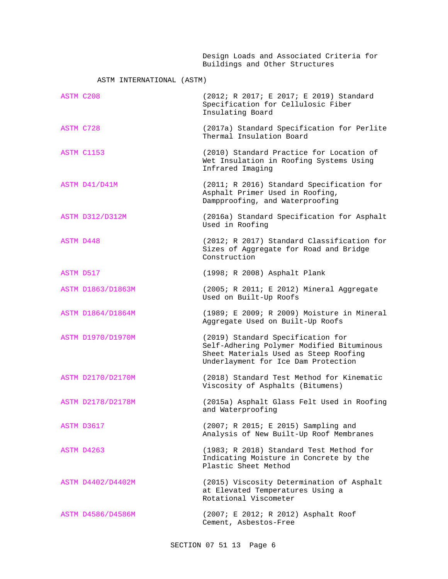Design Loads and Associated Criteria for Buildings and Other Structures

# ASTM INTERNATIONAL (ASTM)

| ASTM C208 |                          | (2012; R 2017; E 2017; E 2019) Standard<br>Specification for Cellulosic Fiber<br>Insulating Board                                                              |
|-----------|--------------------------|----------------------------------------------------------------------------------------------------------------------------------------------------------------|
| ASTM C728 |                          | (2017a) Standard Specification for Perlite<br>Thermal Insulation Board                                                                                         |
|           | ASTM C1153               | (2010) Standard Practice for Location of<br>Wet Insulation in Roofing Systems Using<br>Infrared Imaging                                                        |
|           | ASTM D41/D41M            | (2011; R 2016) Standard Specification for<br>Asphalt Primer Used in Roofing,<br>Dampproofing, and Waterproofing                                                |
|           | <b>ASTM D312/D312M</b>   | (2016a) Standard Specification for Asphalt<br>Used in Roofing                                                                                                  |
| ASTM D448 |                          | (2012; R 2017) Standard Classification for<br>Sizes of Aggregate for Road and Bridge<br>Construction                                                           |
| ASTM D517 |                          | (1998; R 2008) Asphalt Plank                                                                                                                                   |
|           | ASTM D1863/D1863M        | (2005; R 2011; E 2012) Mineral Aggregate<br>Used on Built-Up Roofs                                                                                             |
|           | ASTM D1864/D1864M        | (1989; E 2009; R 2009) Moisture in Mineral<br>Aggregate Used on Built-Up Roofs                                                                                 |
|           | ASTM D1970/D1970M        | (2019) Standard Specification for<br>Self-Adhering Polymer Modified Bituminous<br>Sheet Materials Used as Steep Roofing<br>Underlayment for Ice Dam Protection |
|           | <b>ASTM D2170/D2170M</b> | (2018) Standard Test Method for Kinematic<br>Viscosity of Asphalts (Bitumens)                                                                                  |
|           | ASTM D2178/D2178M        | (2015a) Asphalt Glass Felt Used in Roofing<br>and Waterproofing                                                                                                |
|           | ASTM D3617               | (2007; R 2015; E 2015) Sampling and<br>Analysis of New Built-Up Roof Membranes                                                                                 |
|           | ASTM D4263               | (1983; R 2018) Standard Test Method for<br>Indicating Moisture in Concrete by the<br>Plastic Sheet Method                                                      |
|           | ASTM D4402/D4402M        | (2015) Viscosity Determination of Asphalt<br>at Elevated Temperatures Using a<br>Rotational Viscometer                                                         |
|           | ASTM D4586/D4586M        | (2007; E 2012; R 2012) Asphalt Roof<br>Cement, Asbestos-Free                                                                                                   |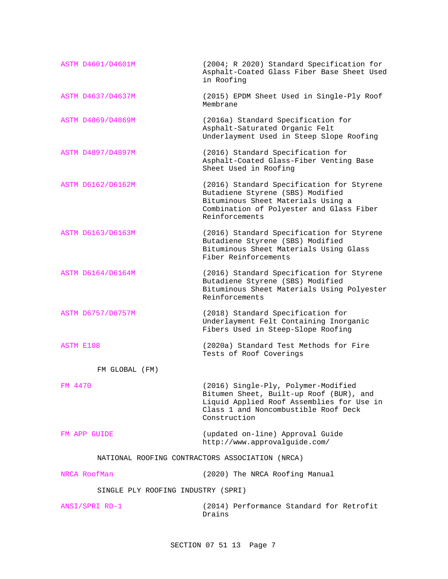ASTM D4601/D4601M (2004; R 2020) Standard Specification for Asphalt-Coated Glass Fiber Base Sheet Used in Roofing ASTM D4637/D4637M (2015) EPDM Sheet Used in Single-Ply Roof Membrane ASTM D4869/D4869M (2016a) Standard Specification for Asphalt-Saturated Organic Felt Underlayment Used in Steep Slope Roofing ASTM D4897/D4897M (2016) Standard Specification for Asphalt-Coated Glass-Fiber Venting Base Sheet Used in Roofing ASTM D6162/D6162M (2016) Standard Specification for Styrene Butadiene Styrene (SBS) Modified Bituminous Sheet Materials Using a Combination of Polyester and Glass Fiber Reinforcements ASTM D6163/D6163M (2016) Standard Specification for Styrene Butadiene Styrene (SBS) Modified Bituminous Sheet Materials Using Glass Fiber Reinforcements ASTM D6164/D6164M (2016) Standard Specification for Styrene Butadiene Styrene (SBS) Modified Bituminous Sheet Materials Using Polyester Reinforcements ASTM D6757/D6757M (2018) Standard Specification for Underlayment Felt Containing Inorganic Fibers Used in Steep-Slope Roofing ASTM E108 (2020a) Standard Test Methods for Fire Tests of Roof Coverings FM GLOBAL (FM) FM 4470 (2016) Single-Ply, Polymer-Modified Bitumen Sheet, Built-up Roof (BUR), and Liquid Applied Roof Assemblies for Use in Class 1 and Noncombustible Roof Deck Construction FM APP GUIDE (updated on-line) Approval Guide http://www.approvalguide.com/ NATIONAL ROOFING CONTRACTORS ASSOCIATION (NRCA) NRCA RoofMan (2020) The NRCA Roofing Manual SINGLE PLY ROOFING INDUSTRY (SPRI) ANSI/SPRI RD-1 (2014) Performance Standard for Retrofit Drains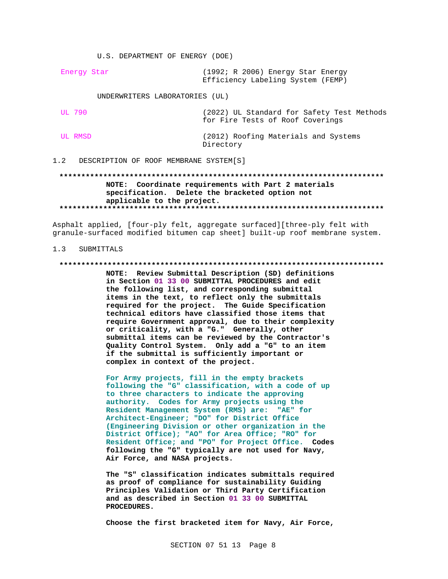U.S. DEPARTMENT OF ENERGY (DOE)

Energy Star (1992; R 2006) Energy Star Energy Efficiency Labeling System (FEMP)

#### UNDERWRITERS LABORATORIES (UL)

**UL 790** (2022) UL Standard for Safety Test Methods for Fire Tests of Roof Coverings UL RMSD (2012) Roofing Materials and Systems Directory

1.2 DESCRIPTION OF ROOF MEMBRANE SYSTEM[S]

# NOTE: Coordinate requirements with Part 2 materials specification. Delete the bracketed option not applicable to the project.

Asphalt applied, [four-ply felt, aggregate surfaced][three-ply felt with granule-surfaced modified bitumen cap sheet] built-up roof membrane system.

#### $1.3$ SUBMITTALS

#### 

NOTE: Review Submittal Description (SD) definitions in Section 01 33 00 SUBMITTAL PROCEDURES and edit the following list, and corresponding submittal items in the text, to reflect only the submittals required for the project. The Guide Specification technical editors have classified those items that require Government approval, due to their complexity or criticality, with a "G." Generally, other submittal items can be reviewed by the Contractor's Quality Control System. Only add a "G" to an item if the submittal is sufficiently important or complex in context of the project.

For Army projects, fill in the empty brackets following the "G" classification, with a code of up to three characters to indicate the approving authority. Codes for Army projects using the Resident Management System (RMS) are: "AE" for Architect-Engineer; "DO" for District Office (Engineering Division or other organization in the District Office); "AO" for Area Office; "RO" for Resident Office; and "PO" for Project Office. Codes following the "G" typically are not used for Navy, Air Force, and NASA projects.

The "S" classification indicates submittals required as proof of compliance for sustainability Guiding Principles Validation or Third Party Certification and as described in Section 01 33 00 SUBMITTAL PROCEDURES.

Choose the first bracketed item for Navy, Air Force,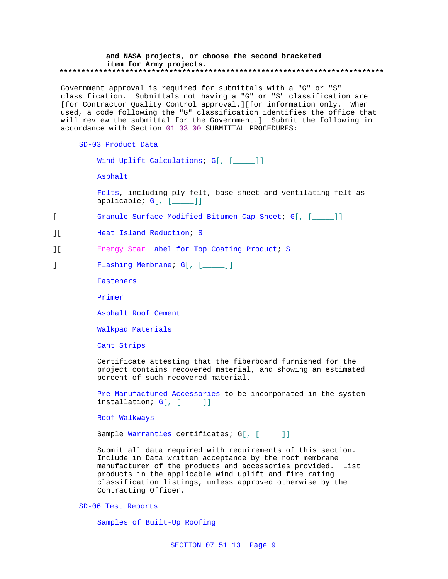#### **and NASA projects, or choose the second bracketed item for Army projects. \*\*\*\*\*\*\*\*\*\*\*\*\*\*\*\*\*\*\*\*\*\*\*\*\*\*\*\*\*\*\*\*\*\*\*\*\*\*\*\*\*\*\*\*\*\*\*\*\*\*\*\*\*\*\*\*\*\*\*\*\*\*\*\*\*\*\*\*\*\*\*\*\*\***

Government approval is required for submittals with a "G" or "S" classification. Submittals not having a "G" or "S" classification are [for Contractor Quality Control approval.][for information only. When used, a code following the "G" classification identifies the office that will review the submittal for the Government.] Submit the following in accordance with Section 01 33 00 SUBMITTAL PROCEDURES:

SD-03 Product Data

Wind Uplift Calculations; G[, [\_\_\_\_]]

Asphalt

Felts, including ply felt, base sheet and ventilating felt as applicable; G[, [\_\_\_\_\_]]

[ Granule Surface Modified Bitumen Cap Sheet; G[, [\_\_\_\_\_]]

][ Heat Island Reduction; S

- ][ Energy Star Label for Top Coating Product; S
- ] Flashing Membrane; G[, [\_\_\_\_]]

Fasteners

Primer

Asphalt Roof Cement

Walkpad Materials

Cant Strips

Certificate attesting that the fiberboard furnished for the project contains recovered material, and showing an estimated percent of such recovered material.

Pre-Manufactured Accessories to be incorporated in the system installation; G[, [\_\_\_\_\_]]

Roof Walkways

Sample Warranties certificates; G[, [\_\_\_\_]]

Submit all data required with requirements of this section. Include in Data written acceptance by the roof membrane manufacturer of the products and accessories provided. List products in the applicable wind uplift and fire rating classification listings, unless approved otherwise by the Contracting Officer.

SD-06 Test Reports

Samples of Built-Up Roofing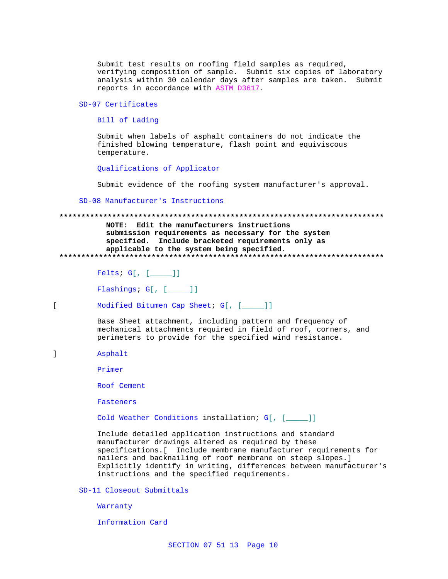Submit test results on roofing field samples as required, verifying composition of sample. Submit six copies of laboratory analysis within 30 calendar days after samples are taken. Submit reports in accordance with ASTM D3617.

#### SD-07 Certificates

Bill of Lading

Submit when labels of asphalt containers do not indicate the finished blowing temperature, flash point and equiviscous temperature.

Qualifications of Applicator

Submit evidence of the roofing system manufacturer's approval.

SD-08 Manufacturer's Instructions

# NOTE: Edit the manufacturers instructions submission requirements as necessary for the system

specified. Include bracketed requirements only as applicable to the system being specified. ............

Felts;  $G[$ ,  $[\underline{\hspace{1cm}}]$ ]

Flashings; G[, [\_\_\_\_]]

 $\overline{1}$ Modified Bitumen Cap Sheet; G[, [\_\_\_\_]]

> Base Sheet attachment, including pattern and frequency of mechanical attachments required in field of roof, corners, and perimeters to provide for the specified wind resistance.

 $\mathbf{1}$ Asphalt

Primer

Roof Cement

Fasteners

Cold Weather Conditions installation; G[, [\_\_\_\_]]

Include detailed application instructions and standard manufacturer drawings altered as required by these specifications. [ Include membrane manufacturer requirements for nailers and backnailing of roof membrane on steep slopes.] Explicitly identify in writing, differences between manufacturer's instructions and the specified requirements.

SD-11 Closeout Submittals

Warranty

Information Card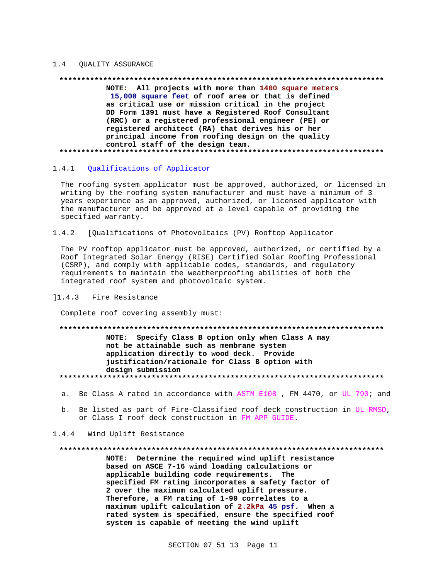#### QUALITY ASSURANCE  $1.4$

#### 

NOTE: All projects with more than 1400 square meters 15,000 square feet of roof area or that is defined as critical use or mission critical in the project DD Form 1391 must have a Registered Roof Consultant (RRC) or a registered professional engineer (PE) or registered architect (RA) that derives his or her principal income from roofing design on the quality control staff of the design team. 

#### 1.4.1 Qualifications of Applicator

The roofing system applicator must be approved, authorized, or licensed in writing by the roofing system manufacturer and must have a minimum of 3 years experience as an approved, authorized, or licensed applicator with the manufacturer and be approved at a level capable of providing the specified warranty.

[Qualifications of Photovoltaics (PV) Rooftop Applicator  $1.4.2$ 

The PV rooftop applicator must be approved, authorized, or certified by a Roof Integrated Solar Energy (RISE) Certified Solar Roofing Professional (CSRP), and comply with applicable codes, standards, and regulatory requirements to maintain the weatherproofing abilities of both the integrated roof system and photovoltaic system.

### 11.4.3 Fire Resistance

Complete roof covering assembly must:

NOTE: Specify Class B option only when Class A may not be attainable such as membrane system application directly to wood deck. Provide justification/rationale for Class B option with design submission 

- a. Be Class A rated in accordance with ASTM E108 , FM 4470, or UL 790; and
- b. Be listed as part of Fire-Classified roof deck construction in UL RMSD, or Class I roof deck construction in FM APP GUIDE.

#### 1.4.4 Wind Uplift Resistance

#### 

NOTE: Determine the required wind uplift resistance based on ASCE 7-16 wind loading calculations or applicable building code requirements. The specified FM rating incorporates a safety factor of 2 over the maximum calculated uplift pressure. Therefore, a FM rating of 1-90 correlates to a maximum uplift calculation of 2.2kPa 45 psf. When a rated system is specified, ensure the specified roof system is capable of meeting the wind uplift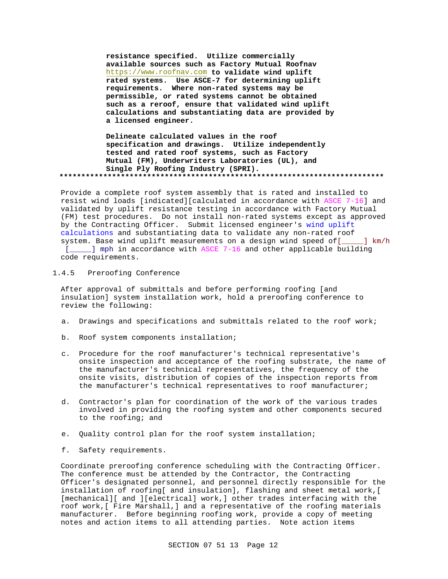**resistance specified. Utilize commercially available sources such as Factory Mutual Roofnav** https://www.roofnav.com **to validate wind uplift rated systems. Use ASCE-7 for determining uplift requirements. Where non-rated systems may be permissible, or rated systems cannot be obtained such as a reroof, ensure that validated wind uplift calculations and substantiating data are provided by a licensed engineer.**

**Delineate calculated values in the roof specification and drawings. Utilize independently tested and rated roof systems, such as Factory Mutual (FM), Underwriters Laboratories (UL), and Single Ply Roofing Industry (SPRI). \*\*\*\*\*\*\*\*\*\*\*\*\*\*\*\*\*\*\*\*\*\*\*\*\*\*\*\*\*\*\*\*\*\*\*\*\*\*\*\*\*\*\*\*\*\*\*\*\*\*\*\*\*\*\*\*\*\*\*\*\*\*\*\*\*\*\*\*\*\*\*\*\*\***

Provide a complete roof system assembly that is rated and installed to resist wind loads [indicated][calculated in accordance with ASCE 7-16] and validated by uplift resistance testing in accordance with Factory Mutual (FM) test procedures. Do not install non-rated systems except as approved by the Contracting Officer. Submit licensed engineer's wind uplift calculations and substantiating data to validate any non-rated roof system. Base wind uplift measurements on a design wind speed of[\_\_\_\_\_] km/h [\_\_\_\_\_] mph in accordance with ASCE 7-16 and other applicable building code requirements.

#### 1.4.5 Preroofing Conference

After approval of submittals and before performing roofing [and insulation] system installation work, hold a preroofing conference to review the following:

- a. Drawings and specifications and submittals related to the roof work;
- b. Roof system components installation;
- c. Procedure for the roof manufacturer's technical representative's onsite inspection and acceptance of the roofing substrate, the name of the manufacturer's technical representatives, the frequency of the onsite visits, distribution of copies of the inspection reports from the manufacturer's technical representatives to roof manufacturer;
- d. Contractor's plan for coordination of the work of the various trades involved in providing the roofing system and other components secured to the roofing; and
- e. Quality control plan for the roof system installation;
- f. Safety requirements.

Coordinate preroofing conference scheduling with the Contracting Officer. The conference must be attended by the Contractor, the Contracting Officer's designated personnel, and personnel directly responsible for the installation of roofing[ and insulation], flashing and sheet metal work,[ [mechanical][ and ][electrical] work,] other trades interfacing with the roof work,[ Fire Marshall,] and a representative of the roofing materials manufacturer. Before beginning roofing work, provide a copy of meeting notes and action items to all attending parties. Note action items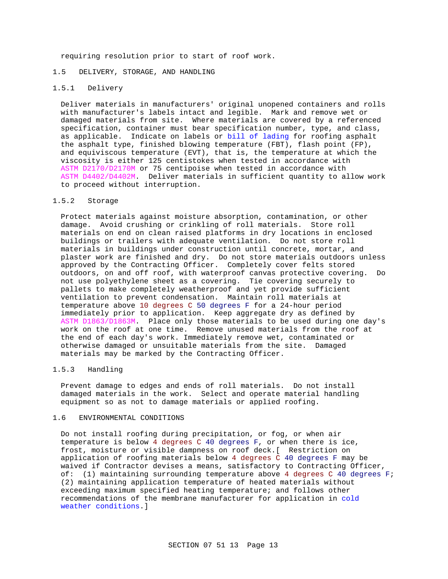requiring resolution prior to start of roof work.

# 1.5 DELIVERY, STORAGE, AND HANDLING

### 1.5.1 Delivery

Deliver materials in manufacturers' original unopened containers and rolls with manufacturer's labels intact and legible. Mark and remove wet or damaged materials from site. Where materials are covered by a referenced specification, container must bear specification number, type, and class, as applicable. Indicate on labels or bill of lading for roofing asphalt the asphalt type, finished blowing temperature (FBT), flash point (FP), and equiviscous temperature (EVT), that is, the temperature at which the viscosity is either 125 centistokes when tested in accordance with ASTM D2170/D2170M or 75 centipoise when tested in accordance with ASTM D4402/D4402M. Deliver materials in sufficient quantity to allow work to proceed without interruption.

#### 1.5.2 Storage

Protect materials against moisture absorption, contamination, or other damage. Avoid crushing or crinkling of roll materials. Store roll materials on end on clean raised platforms in dry locations in enclosed buildings or trailers with adequate ventilation. Do not store roll materials in buildings under construction until concrete, mortar, and plaster work are finished and dry. Do not store materials outdoors unless approved by the Contracting Officer. Completely cover felts stored outdoors, on and off roof, with waterproof canvas protective covering. Do not use polyethylene sheet as a covering. Tie covering securely to pallets to make completely weatherproof and yet provide sufficient ventilation to prevent condensation. Maintain roll materials at temperature above 10 degrees C 50 degrees F for a 24-hour period immediately prior to application. Keep aggregate dry as defined by ASTM D1863/D1863M. Place only those materials to be used during one day's work on the roof at one time. Remove unused materials from the roof at the end of each day's work. Immediately remove wet, contaminated or otherwise damaged or unsuitable materials from the site. Damaged materials may be marked by the Contracting Officer.

# 1.5.3 Handling

Prevent damage to edges and ends of roll materials. Do not install damaged materials in the work. Select and operate material handling equipment so as not to damage materials or applied roofing.

#### 1.6 ENVIRONMENTAL CONDITIONS

Do not install roofing during precipitation, or fog, or when air temperature is below 4 degrees C 40 degrees F, or when there is ice, frost, moisture or visible dampness on roof deck.[ Restriction on application of roofing materials below 4 degrees C 40 degrees F may be waived if Contractor devises a means, satisfactory to Contracting Officer, of: (1) maintaining surrounding temperature above 4 degrees C 40 degrees F; (2) maintaining application temperature of heated materials without exceeding maximum specified heating temperature; and follows other recommendations of the membrane manufacturer for application in cold weather conditions.]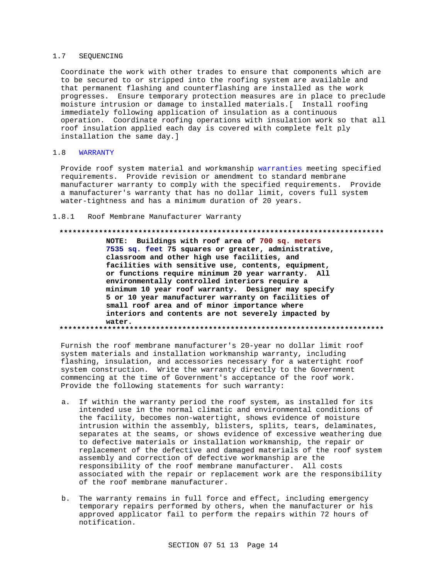#### 1.7 SEQUENCING

Coordinate the work with other trades to ensure that components which are to be secured to or stripped into the roofing system are available and that permanent flashing and counterflashing are installed as the work progresses. Ensure temporary protection measures are in place to preclude moisture intrusion or damage to installed materials.[ Install roofing immediately following application of insulation as a continuous operation. Coordinate roofing operations with insulation work so that all roof insulation applied each day is covered with complete felt ply installation the same day.]

#### $1.8$ **WARRANTY**

Provide roof system material and workmanship warranties meeting specified requirements. Provide revision or amendment to standard membrane manufacturer warranty to comply with the specified requirements. Provide a manufacturer's warranty that has no dollar limit, covers full system water-tightness and has a minimum duration of 20 years.

#### $1.8.1$ Roof Membrane Manufacturer Warranty

# NOTE: Buildings with roof area of 700 sq. meters 7535 sq. feet 75 squares or greater, administrative, classroom and other high use facilities, and facilities with sensitive use, contents, equipment, or functions require minimum 20 year warranty. All environmentally controlled interiors require a minimum 10 year roof warranty. Designer may specify 5 or 10 year manufacturer warranty on facilities of small roof area and of minor importance where interiors and contents are not severely impacted by water.

Furnish the roof membrane manufacturer's 20-year no dollar limit roof system materials and installation workmanship warranty, including flashing, insulation, and accessories necessary for a watertight roof system construction. Write the warranty directly to the Government commencing at the time of Government's acceptance of the roof work. Provide the following statements for such warranty:

- a. If within the warranty period the roof system, as installed for its intended use in the normal climatic and environmental conditions of the facility, becomes non-watertight, shows evidence of moisture intrusion within the assembly, blisters, splits, tears, delaminates, separates at the seams, or shows evidence of excessive weathering due to defective materials or installation workmanship, the repair or replacement of the defective and damaged materials of the roof system assembly and correction of defective workmanship are the responsibility of the roof membrane manufacturer. All costs associated with the repair or replacement work are the responsibility of the roof membrane manufacturer.
- b. The warranty remains in full force and effect, including emergency temporary repairs performed by others, when the manufacturer or his approved applicator fail to perform the repairs within 72 hours of notification.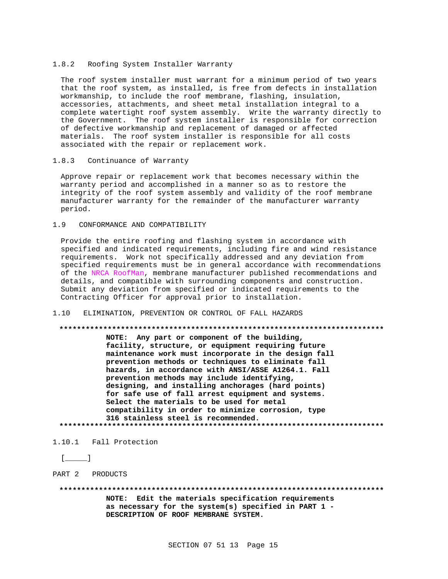#### 1.8.2 Roofing System Installer Warranty

The roof system installer must warrant for a minimum period of two years that the roof system, as installed, is free from defects in installation workmanship, to include the roof membrane, flashing, insulation, accessories, attachments, and sheet metal installation integral to a complete watertight roof system assembly. Write the warranty directly to the Government. The roof system installer is responsible for correction of defective workmanship and replacement of damaged or affected materials. The roof system installer is responsible for all costs associated with the repair or replacement work.

### 1.8.3 Continuance of Warranty

Approve repair or replacement work that becomes necessary within the warranty period and accomplished in a manner so as to restore the integrity of the roof system assembly and validity of the roof membrane manufacturer warranty for the remainder of the manufacturer warranty period.

# 1.9 CONFORMANCE AND COMPATIBILITY

Provide the entire roofing and flashing system in accordance with specified and indicated requirements, including fire and wind resistance requirements. Work not specifically addressed and any deviation from specified requirements must be in general accordance with recommendations of the NRCA RoofMan, membrane manufacturer published recommendations and details, and compatible with surrounding components and construction. Submit any deviation from specified or indicated requirements to the Contracting Officer for approval prior to installation.

#### 1.10 ELIMINATION, PREVENTION OR CONTROL OF FALL HAZARDS

#### **\*\*\*\*\*\*\*\*\*\*\*\*\*\*\*\*\*\*\*\*\*\*\*\*\*\*\*\*\*\*\*\*\*\*\*\*\*\*\*\*\*\*\*\*\*\*\*\*\*\*\*\*\*\*\*\*\*\*\*\*\*\*\*\*\*\*\*\*\*\*\*\*\*\***

**NOTE: Any part or component of the building, facility, structure, or equipment requiring future maintenance work must incorporate in the design fall prevention methods or techniques to eliminate fall hazards, in accordance with ANSI/ASSE A1264.1. Fall prevention methods may include identifying, designing, and installing anchorages (hard points) for safe use of fall arrest equipment and systems. Select the materials to be used for metal compatibility in order to minimize corrosion, type 316 stainless steel is recommended. \*\*\*\*\*\*\*\*\*\*\*\*\*\*\*\*\*\*\*\*\*\*\*\*\*\*\*\*\*\*\*\*\*\*\*\*\*\*\*\*\*\*\*\*\*\*\*\*\*\*\*\*\*\*\*\*\*\*\*\*\*\*\*\*\*\*\*\*\*\*\*\*\*\***

1.10.1 Fall Protection

 $[\_$ 

PART 2 PRODUCTS

**\*\*\*\*\*\*\*\*\*\*\*\*\*\*\*\*\*\*\*\*\*\*\*\*\*\*\*\*\*\*\*\*\*\*\*\*\*\*\*\*\*\*\*\*\*\*\*\*\*\*\*\*\*\*\*\*\*\*\*\*\*\*\*\*\*\*\*\*\*\*\*\*\*\* NOTE: Edit the materials specification requirements as necessary for the system(s) specified in PART 1 - DESCRIPTION OF ROOF MEMBRANE SYSTEM.**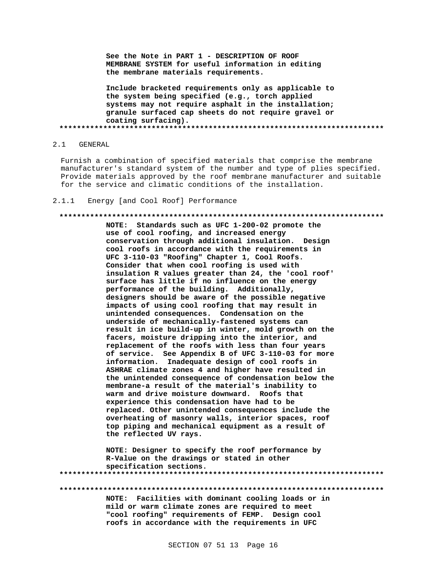See the Note in PART 1 - DESCRIPTION OF ROOF MEMBRANE SYSTEM for useful information in editing the membrane materials requirements.

Include bracketed requirements only as applicable to the system being specified (e.g., torch applied systems may not require asphalt in the installation; granule surfaced cap sheets do not require gravel or coating surfacing). 

 $2.1$ GENERAL

> Furnish a combination of specified materials that comprise the membrane manufacturer's standard system of the number and type of plies specified. Provide materials approved by the roof membrane manufacturer and suitable for the service and climatic conditions of the installation.

#### Energy [and Cool Roof] Performance  $2 \t1 \t1$

#### 

NOTE: Standards such as UFC 1-200-02 promote the use of cool roofing, and increased energy conservation through additional insulation. Design cool roofs in accordance with the requirements in UFC 3-110-03 "Roofing" Chapter 1, Cool Roofs. Consider that when cool roofing is used with insulation R values greater than 24, the 'cool roof' surface has little if no influence on the energy performance of the building. Additionally, designers should be aware of the possible negative impacts of using cool roofing that may result in unintended consequences. Condensation on the underside of mechanically-fastened systems can result in ice build-up in winter, mold growth on the facers, moisture dripping into the interior, and replacement of the roofs with less than four years of service. See Appendix B of UFC 3-110-03 for more information. Inadequate design of cool roofs in ASHRAE climate zones 4 and higher have resulted in the unintended consequence of condensation below the membrane-a result of the material's inability to warm and drive moisture downward. Roofs that experience this condensation have had to be replaced. Other unintended consequences include the overheating of masonry walls, interior spaces, roof top piping and mechanical equipment as a result of the reflected UV rays.

NOTE: Designer to specify the roof performance by R-Value on the drawings or stated in other specification sections. 

NOTE: Facilities with dominant cooling loads or in mild or warm climate zones are required to meet "cool roofing" requirements of FEMP. Design cool roofs in accordance with the requirements in UFC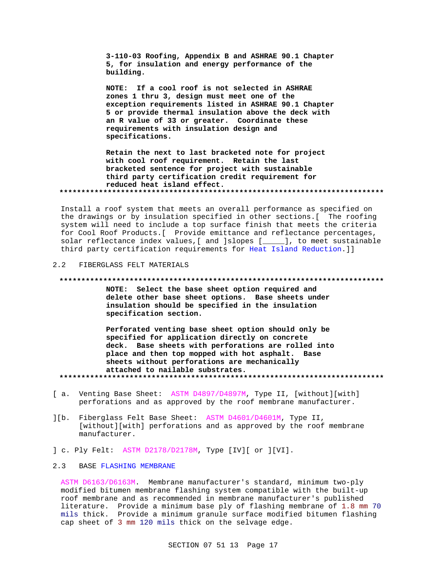3-110-03 Roofing, Appendix B and ASHRAE 90.1 Chapter 5, for insulation and energy performance of the building.

NOTE: If a cool roof is not selected in ASHRAE zones 1 thru 3, design must meet one of the exception requirements listed in ASHRAE 90.1 Chapter 5 or provide thermal insulation above the deck with an R value of 33 or greater. Coordinate these requirements with insulation design and specifications.

Retain the next to last bracketed note for project with cool roof requirement. Retain the last bracketed sentence for project with sustainable third party certification credit requirement for reduced heat island effect. 

Install a roof system that meets an overall performance as specified on the drawings or by insulation specified in other sections. [ The roofing system will need to include a top surface finish that meets the criteria for Cool Roof Products. [ Provide emittance and reflectance percentages, solar reflectance index values, [ and ] slopes [\_\_\_\_\_], to meet sustainable third party certification requirements for Heat Island Reduction.]]

#### $2, 2$ FIBERGLASS FELT MATERIALS

#### 

NOTE: Select the base sheet option required and delete other base sheet options. Base sheets under insulation should be specified in the insulation specification section.

Perforated venting base sheet option should only be specified for application directly on concrete deck. Base sheets with perforations are rolled into place and then top mopped with hot asphalt. Base sheets without perforations are mechanically attached to nailable substrates. 

- [ a. Venting Base Sheet: ASTM D4897/D4897M, Type II, [without][with] perforations and as approved by the roof membrane manufacturer.
- ][b. Fiberglass Felt Base Sheet: ASTM D4601/D4601M, Type II, [without][with] perforations and as approved by the roof membrane manufacturer.
- ] c. Ply Felt: ASTM D2178/D2178M, Type [IV][ or ][VI].

#### $2.3$ **BASE FLASHING MEMBRANE**

ASTM D6163/D6163M. Membrane manufacturer's standard, minimum two-ply modified bitumen membrane flashing system compatible with the built-up roof membrane and as recommended in membrane manufacturer's published literature. Provide a minimum base ply of flashing membrane of 1.8 mm 70 mils thick. Provide a minimum granule surface modified bitumen flashing cap sheet of 3 mm 120 mils thick on the selvage edge.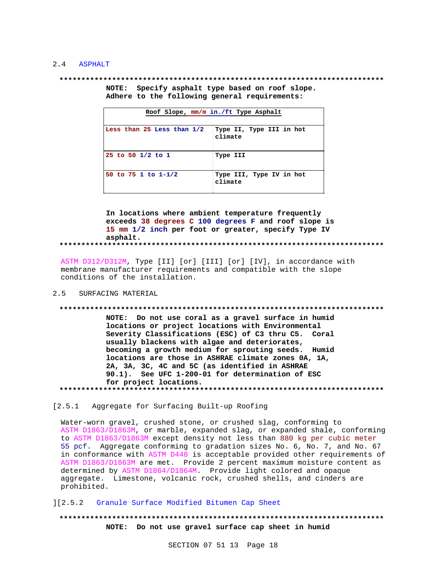#### 2.4 ASPHALT

#### 

NOTE: Specify asphalt type based on roof slope. Adhere to the following general requirements:

| Roof Slope, mm/m in./ft Type Asphalt |                                     |  |  |
|--------------------------------------|-------------------------------------|--|--|
| Less than 25 Less than 1/2           | Type II, Type III in hot<br>climate |  |  |
| 25 to 50 1/2 to 1                    | Type III                            |  |  |
| 50 to 75 1 to 1-1/2                  | Type III, Type IV in hot<br>climate |  |  |

In locations where ambient temperature frequently exceeds 38 degrees C 100 degrees F and roof slope is 15 mm 1/2 inch per foot or greater, specify Type IV asphalt. 

ASTM D312/D312M, Type [II] [or] [III] [or] [IV], in accordance with membrane manufacturer requirements and compatible with the slope conditions of the installation.

#### $2.5$ SURFACING MATERIAL

# 

NOTE: Do not use coral as a gravel surface in humid locations or project locations with Environmental Severity Classifications (ESC) of C3 thru C5. Coral usually blackens with algae and deteriorates, becoming a growth medium for sprouting seeds. Humid locations are those in ASHRAE climate zones 0A, 1A, 2A, 3A, 3C, 4C and 5C (as identified in ASHRAE 90.1). See UFC 1-200-01 for determination of ESC for project locations. 

#### $[2.5.1]$ Aggregate for Surfacing Built-up Roofing

Water-worn gravel, crushed stone, or crushed slag, conforming to ASTM D1863/D1863M, or marble, expanded slag, or expanded shale, conforming to ASTM D1863/D1863M except density not less than 880 kg per cubic meter 55 pcf. Aggregate conforming to gradation sizes No. 6, No. 7, and No. 67 in conformance with ASTM D448 is acceptable provided other requirements of ASTM D1863/D1863M are met. Provide 2 percent maximum moisture content as determined by ASTM D1864/D1864M. Provide light colored and opaque aggregate. Limestone, volcanic rock, crushed shells, and cinders are prohibited.

][2.5.2 Granule Surface Modified Bitumen Cap Sheet

NOTE: Do not use gravel surface cap sheet in humid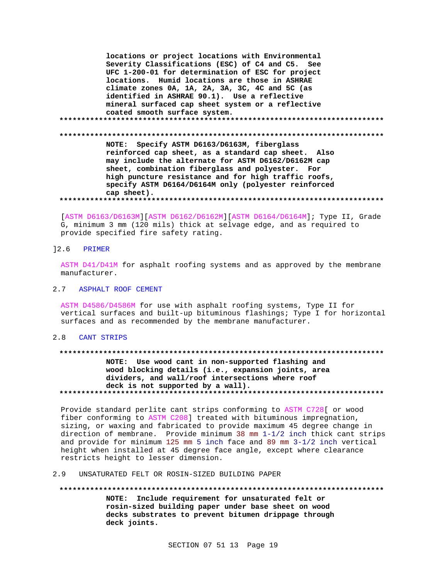**locations or project locations with Environmental Severity Classifications (ESC) of C4 and C5. See UFC 1-200-01 for determination of ESC for project locations. Humid locations are those in ASHRAE climate zones 0A, 1A, 2A, 3A, 3C, 4C and 5C (as identified in ASHRAE 90.1). Use a reflective mineral surfaced cap sheet system or a reflective coated smooth surface system. \*\*\*\*\*\*\*\*\*\*\*\*\*\*\*\*\*\*\*\*\*\*\*\*\*\*\*\*\*\*\*\*\*\*\*\*\*\*\*\*\*\*\*\*\*\*\*\*\*\*\*\*\*\*\*\*\*\*\*\*\*\*\*\*\*\*\*\*\*\*\*\*\*\* \*\*\*\*\*\*\*\*\*\*\*\*\*\*\*\*\*\*\*\*\*\*\*\*\*\*\*\*\*\*\*\*\*\*\*\*\*\*\*\*\*\*\*\*\*\*\*\*\*\*\*\*\*\*\*\*\*\*\*\*\*\*\*\*\*\*\*\*\*\*\*\*\*\* NOTE: Specify ASTM D6163/D6163M, fiberglass reinforced cap sheet, as a standard cap sheet. Also may include the alternate for ASTM D6162/D6162M cap sheet, combination fiberglass and polyester. For high puncture resistance and for high traffic roofs, specify ASTM D6164/D6164M only (polyester reinforced cap sheet). \*\*\*\*\*\*\*\*\*\*\*\*\*\*\*\*\*\*\*\*\*\*\*\*\*\*\*\*\*\*\*\*\*\*\*\*\*\*\*\*\*\*\*\*\*\*\*\*\*\*\*\*\*\*\*\*\*\*\*\*\*\*\*\*\*\*\*\*\*\*\*\*\*\***

[ASTM D6163/D6163M][ASTM D6162/D6162M][ASTM D6164/D6164M]; Type II, Grade G, minimum 3 mm (120 mils) thick at selvage edge, and as required to provide specified fire safety rating.

### ]2.6 PRIMER

ASTM D41/D41M for asphalt roofing systems and as approved by the membrane manufacturer.

#### 2.7 ASPHALT ROOF CEMENT

ASTM D4586/D4586M for use with asphalt roofing systems, Type II for vertical surfaces and built-up bituminous flashings; Type I for horizontal surfaces and as recommended by the membrane manufacturer.

## 2.8 CANT STRIPS

# **\*\*\*\*\*\*\*\*\*\*\*\*\*\*\*\*\*\*\*\*\*\*\*\*\*\*\*\*\*\*\*\*\*\*\*\*\*\*\*\*\*\*\*\*\*\*\*\*\*\*\*\*\*\*\*\*\*\*\*\*\*\*\*\*\*\*\*\*\*\*\*\*\*\* NOTE: Use wood cant in non-supported flashing and wood blocking details (i.e., expansion joints, area dividers, and wall/roof intersections where roof deck is not supported by a wall). \*\*\*\*\*\*\*\*\*\*\*\*\*\*\*\*\*\*\*\*\*\*\*\*\*\*\*\*\*\*\*\*\*\*\*\*\*\*\*\*\*\*\*\*\*\*\*\*\*\*\*\*\*\*\*\*\*\*\*\*\*\*\*\*\*\*\*\*\*\*\*\*\*\***

Provide standard perlite cant strips conforming to ASTM C728[ or wood fiber conforming to ASTM C208] treated with bituminous impregnation, sizing, or waxing and fabricated to provide maximum 45 degree change in direction of membrane. Provide minimum 38 mm 1-1/2 inch thick cant strips and provide for minimum 125 mm 5 inch face and 89 mm 3-1/2 inch vertical height when installed at 45 degree face angle, except where clearance restricts height to lesser dimension.

#### 2.9 UNSATURATED FELT OR ROSIN-SIZED BUILDING PAPER

#### **\*\*\*\*\*\*\*\*\*\*\*\*\*\*\*\*\*\*\*\*\*\*\*\*\*\*\*\*\*\*\*\*\*\*\*\*\*\*\*\*\*\*\*\*\*\*\*\*\*\*\*\*\*\*\*\*\*\*\*\*\*\*\*\*\*\*\*\*\*\*\*\*\*\***

**NOTE: Include requirement for unsaturated felt or rosin-sized building paper under base sheet on wood decks substrates to prevent bitumen drippage through deck joints.**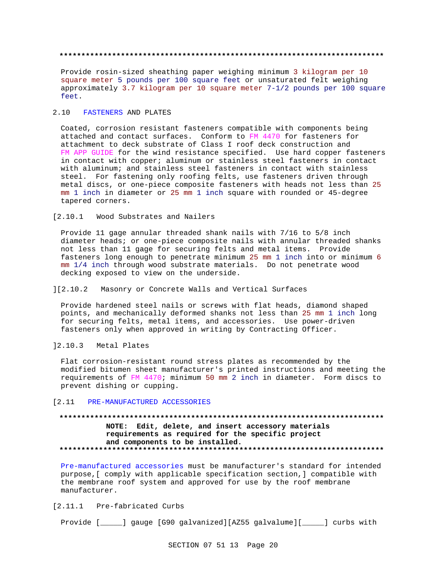# **\*\*\*\*\*\*\*\*\*\*\*\*\*\*\*\*\*\*\*\*\*\*\*\*\*\*\*\*\*\*\*\*\*\*\*\*\*\*\*\*\*\*\*\*\*\*\*\*\*\*\*\*\*\*\*\*\*\*\*\*\*\*\*\*\*\*\*\*\*\*\*\*\*\***

Provide rosin-sized sheathing paper weighing minimum 3 kilogram per 10 square meter 5 pounds per 100 square feet or unsaturated felt weighing approximately 3.7 kilogram per 10 square meter 7-1/2 pounds per 100 square feet.

# 2.10 FASTENERS AND PLATES

Coated, corrosion resistant fasteners compatible with components being attached and contact surfaces. Conform to FM 4470 for fasteners for attachment to deck substrate of Class I roof deck construction and FM APP GUIDE for the wind resistance specified. Use hard copper fasteners in contact with copper; aluminum or stainless steel fasteners in contact with aluminum; and stainless steel fasteners in contact with stainless steel. For fastening only roofing felts, use fasteners driven through metal discs, or one-piece composite fasteners with heads not less than 25 mm 1 inch in diameter or 25 mm 1 inch square with rounded or 45-degree tapered corners.

[2.10.1 Wood Substrates and Nailers

Provide 11 gage annular threaded shank nails with 7/16 to 5/8 inch diameter heads; or one-piece composite nails with annular threaded shanks not less than 11 gage for securing felts and metal items. Provide fasteners long enough to penetrate minimum 25 mm 1 inch into or minimum 6 mm 1/4 inch through wood substrate materials. Do not penetrate wood decking exposed to view on the underside.

#### ][2.10.2 Masonry or Concrete Walls and Vertical Surfaces

Provide hardened steel nails or screws with flat heads, diamond shaped points, and mechanically deformed shanks not less than 25 mm 1 inch long for securing felts, metal items, and accessories. Use power-driven fasteners only when approved in writing by Contracting Officer.

]2.10.3 Metal Plates

Flat corrosion-resistant round stress plates as recommended by the modified bitumen sheet manufacturer's printed instructions and meeting the requirements of FM 4470; minimum 50 mm 2 inch in diameter. Form discs to prevent dishing or cupping.

#### [2.11 PRE-MANUFACTURED ACCESSORIES

# **\*\*\*\*\*\*\*\*\*\*\*\*\*\*\*\*\*\*\*\*\*\*\*\*\*\*\*\*\*\*\*\*\*\*\*\*\*\*\*\*\*\*\*\*\*\*\*\*\*\*\*\*\*\*\*\*\*\*\*\*\*\*\*\*\*\*\*\*\*\*\*\*\*\* NOTE: Edit, delete, and insert accessory materials requirements as required for the specific project and components to be installed. \*\*\*\*\*\*\*\*\*\*\*\*\*\*\*\*\*\*\*\*\*\*\*\*\*\*\*\*\*\*\*\*\*\*\*\*\*\*\*\*\*\*\*\*\*\*\*\*\*\*\*\*\*\*\*\*\*\*\*\*\*\*\*\*\*\*\*\*\*\*\*\*\*\***

Pre-manufactured accessories must be manufacturer's standard for intended purpose,[ comply with applicable specification section,] compatible with the membrane roof system and approved for use by the roof membrane manufacturer.

### [2.11.1 Pre-fabricated Curbs

Provide [\_\_\_\_\_] gauge [G90 galvanized][AZ55 galvalume][\_\_\_\_\_] curbs with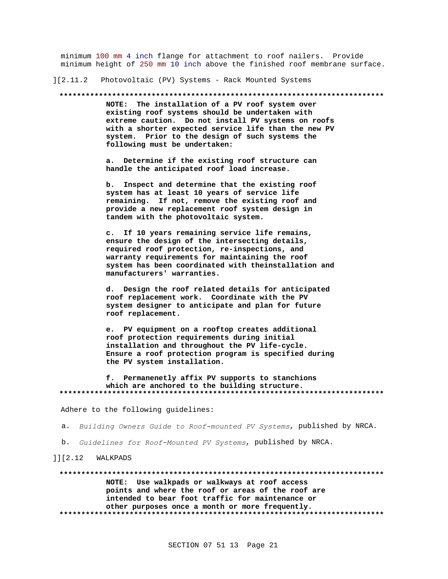minimum 100 mm 4 inch flange for attachment to roof nailers. Provide minimum height of 250 mm 10 inch above the finished roof membrane surface.

Photovoltaic (PV) Systems - Rack Mounted Systems  $1[2.11.2]$ 

NOTE: The installation of a PV roof system over existing roof systems should be undertaken with extreme caution. Do not install PV systems on roofs with a shorter expected service life than the new PV system. Prior to the design of such systems the following must be undertaken:

a. Determine if the existing roof structure can handle the anticipated roof load increase.

Inspect and determine that the existing roof  $<sub>b</sub>$ .</sub> system has at least 10 years of service life remaining. If not, remove the existing roof and provide a new replacement roof system design in tandem with the photovoltaic system.

c. If 10 years remaining service life remains, ensure the design of the intersecting details, required roof protection, re-inspections, and warranty requirements for maintaining the roof system has been coordinated with theinstallation and manufacturers' warranties.

d. Design the roof related details for anticipated roof replacement work. Coordinate with the PV system designer to anticipate and plan for future roof replacement.

e. PV equipment on a rooftop creates additional roof protection requirements during initial installation and throughout the PV life-cycle. Ensure a roof protection program is specified during the PV system installation.

f. Permanenetly affix PV supports to stanchions which are anchored to the building structure. 

Adhere to the following guidelines:

- a. Building Owners Guide to Roof-mounted PV Systems, published by NRCA.
- b. Guidelines for Roof-Mounted PV Systems, published by NRCA.
- $]$   $[$   $[$   $[$   $2.12]$ WALKPADS

NOTE: Use walkpads or walkways at roof access points and where the roof or areas of the roof are intended to bear foot traffic for maintenance or other purposes once a month or more frequently.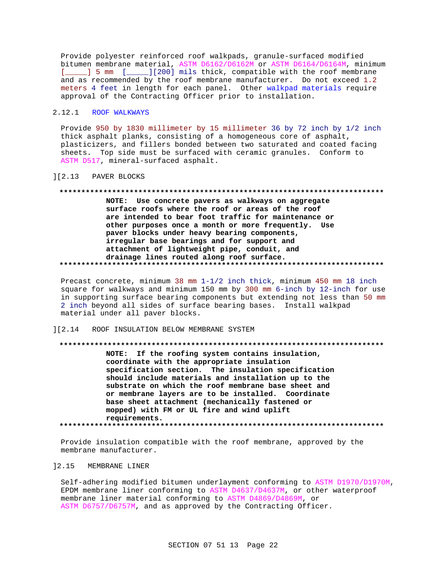Provide polyester reinforced roof walkpads, granule-surfaced modified bitumen membrane material, ASTM D6162/D6162M or ASTM D6164/D6164M, minimum [\_\_\_\_\_] 5 mm [\_\_\_\_\_][200] mils thick, compatible with the roof membrane and as recommended by the roof membrane manufacturer. Do not exceed 1.2 meters 4 feet in length for each panel. Other walkpad materials require approval of the Contracting Officer prior to installation.

#### 2.12.1 ROOF WALKWAYS

Provide 950 by 1830 millimeter by 15 millimeter 36 by 72 inch by 1/2 inch thick asphalt planks, consisting of a homogeneous core of asphalt, plasticizers, and fillers bonded between two saturated and coated facing sheets. Top side must be surfaced with ceramic granules. Conform to ASTM D517, mineral-surfaced asphalt.

# ][2.13 PAVER BLOCKS

#### **\*\*\*\*\*\*\*\*\*\*\*\*\*\*\*\*\*\*\*\*\*\*\*\*\*\*\*\*\*\*\*\*\*\*\*\*\*\*\*\*\*\*\*\*\*\*\*\*\*\*\*\*\*\*\*\*\*\*\*\*\*\*\*\*\*\*\*\*\*\*\*\*\*\***

**NOTE: Use concrete pavers as walkways on aggregate surface roofs where the roof or areas of the roof are intended to bear foot traffic for maintenance or other purposes once a month or more frequently. Use paver blocks under heavy bearing components, irregular base bearings and for support and attachment of lightweight pipe, conduit, and drainage lines routed along roof surface. \*\*\*\*\*\*\*\*\*\*\*\*\*\*\*\*\*\*\*\*\*\*\*\*\*\*\*\*\*\*\*\*\*\*\*\*\*\*\*\*\*\*\*\*\*\*\*\*\*\*\*\*\*\*\*\*\*\*\*\*\*\*\*\*\*\*\*\*\*\*\*\*\*\***

Precast concrete, minimum 38 mm 1-1/2 inch thick, minimum 450 mm 18 inch square for walkways and minimum 150 mm by 300 mm 6-inch by 12-inch for use in supporting surface bearing components but extending not less than 50 mm 2 inch beyond all sides of surface bearing bases. Install walkpad material under all paver blocks.

#### ][2.14 ROOF INSULATION BELOW MEMBRANE SYSTEM

#### **\*\*\*\*\*\*\*\*\*\*\*\*\*\*\*\*\*\*\*\*\*\*\*\*\*\*\*\*\*\*\*\*\*\*\*\*\*\*\*\*\*\*\*\*\*\*\*\*\*\*\*\*\*\*\*\*\*\*\*\*\*\*\*\*\*\*\*\*\*\*\*\*\*\***

**NOTE: If the roofing system contains insulation, coordinate with the appropriate insulation specification section. The insulation specification should include materials and installation up to the substrate on which the roof membrane base sheet and or membrane layers are to be installed. Coordinate base sheet attachment (mechanically fastened or mopped) with FM or UL fire and wind uplift requirements. \*\*\*\*\*\*\*\*\*\*\*\*\*\*\*\*\*\*\*\*\*\*\*\*\*\*\*\*\*\*\*\*\*\*\*\*\*\*\*\*\*\*\*\*\*\*\*\*\*\*\*\*\*\*\*\*\*\*\*\*\*\*\*\*\*\*\*\*\*\*\*\*\*\***

Provide insulation compatible with the roof membrane, approved by the membrane manufacturer.

# ]2.15 MEMBRANE LINER

Self-adhering modified bitumen underlayment conforming to ASTM D1970/D1970M, EPDM membrane liner conforming to ASTM D4637/D4637M, or other waterproof membrane liner material conforming to ASTM D4869/D4869M, or ASTM D6757/D6757M, and as approved by the Contracting Officer.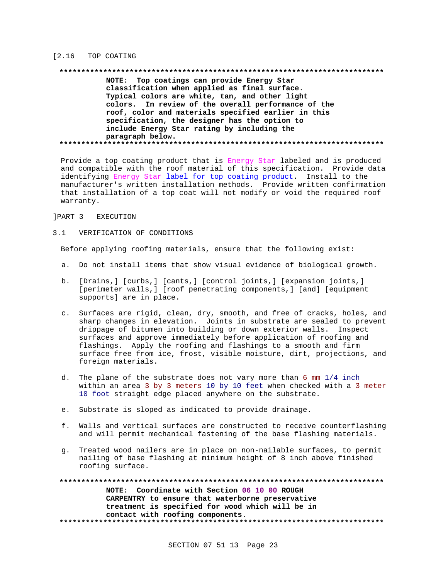#### [2.16 TOP COATING

#### **\*\*\*\*\*\*\*\*\*\*\*\*\*\*\*\*\*\*\*\*\*\*\*\*\*\*\*\*\*\*\*\*\*\*\*\*\*\*\*\*\*\*\*\*\*\*\*\*\*\*\*\*\*\*\*\*\*\*\*\*\*\*\*\*\*\*\*\*\*\*\*\*\*\***

**NOTE: Top coatings can provide Energy Star classification when applied as final surface. Typical colors are white, tan, and other light colors. In review of the overall performance of the roof, color and materials specified earlier in this specification, the designer has the option to include Energy Star rating by including the paragraph below. \*\*\*\*\*\*\*\*\*\*\*\*\*\*\*\*\*\*\*\*\*\*\*\*\*\*\*\*\*\*\*\*\*\*\*\*\*\*\*\*\*\*\*\*\*\*\*\*\*\*\*\*\*\*\*\*\*\*\*\*\*\*\*\*\*\*\*\*\*\*\*\*\*\***

Provide a top coating product that is Energy Star labeled and is produced and compatible with the roof material of this specification. Provide data identifying Energy Star label for top coating product. Install to the manufacturer's written installation methods. Provide written confirmation that installation of a top coat will not modify or void the required roof warranty.

### ]PART 3 EXECUTION

#### 3.1 VERIFICATION OF CONDITIONS

Before applying roofing materials, ensure that the following exist:

- a. Do not install items that show visual evidence of biological growth.
- b. [Drains,] [curbs,] [cants,] [control joints,] [expansion joints,] [perimeter walls,] [roof penetrating components,] [and] [equipment supports] are in place.
- c. Surfaces are rigid, clean, dry, smooth, and free of cracks, holes, and sharp changes in elevation. Joints in substrate are sealed to prevent drippage of bitumen into building or down exterior walls. Inspect surfaces and approve immediately before application of roofing and flashings. Apply the roofing and flashings to a smooth and firm surface free from ice, frost, visible moisture, dirt, projections, and foreign materials.
- d. The plane of the substrate does not vary more than 6 mm 1/4 inch within an area 3 by 3 meters 10 by 10 feet when checked with a 3 meter 10 foot straight edge placed anywhere on the substrate.
- e. Substrate is sloped as indicated to provide drainage.
- f. Walls and vertical surfaces are constructed to receive counterflashing and will permit mechanical fastening of the base flashing materials.
- g. Treated wood nailers are in place on non-nailable surfaces, to permit nailing of base flashing at minimum height of 8 inch above finished roofing surface.

**\*\*\*\*\*\*\*\*\*\*\*\*\*\*\*\*\*\*\*\*\*\*\*\*\*\*\*\*\*\*\*\*\*\*\*\*\*\*\*\*\*\*\*\*\*\*\*\*\*\*\*\*\*\*\*\*\*\*\*\*\*\*\*\*\*\*\*\*\*\*\*\*\*\* NOTE: Coordinate with Section 06 10 00 ROUGH CARPENTRY to ensure that waterborne preservative treatment is specified for wood which will be in contact with roofing components. \*\*\*\*\*\*\*\*\*\*\*\*\*\*\*\*\*\*\*\*\*\*\*\*\*\*\*\*\*\*\*\*\*\*\*\*\*\*\*\*\*\*\*\*\*\*\*\*\*\*\*\*\*\*\*\*\*\*\*\*\*\*\*\*\*\*\*\*\*\*\*\*\*\***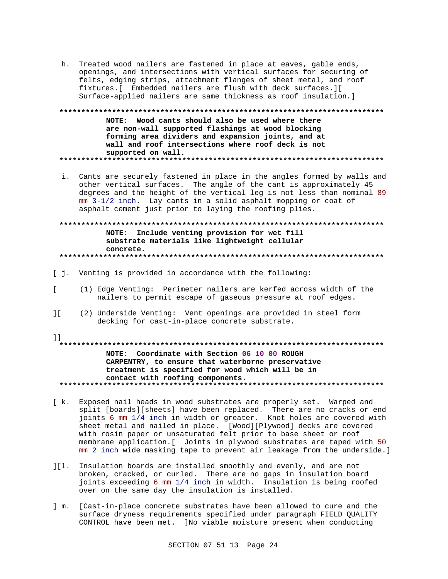h. Treated wood nailers are fastened in place at eaves, gable ends, openings, and intersections with vertical surfaces for securing of felts, edging strips, attachment flanges of sheet metal, and roof fixtures. [ Embedded nailers are flush with deck surfaces. ] [ Surface-applied nailers are same thickness as roof insulation.]

NOTE: Wood cants should also be used where there are non-wall supported flashings at wood blocking forming area dividers and expansion joints, and at wall and roof intersections where roof deck is not supported on wall. 

i. Cants are securely fastened in place in the angles formed by walls and other vertical surfaces. The angle of the cant is approximately 45 degrees and the height of the vertical leg is not less than nominal 89 mm 3-1/2 inch. Lay cants in a solid asphalt mopping or coat of asphalt cement just prior to laying the roofing plies.

NOTE: Include venting provision for wet fill substrate materials like lightweight cellular concrete. 

- [ j. Venting is provided in accordance with the following:
- (1) Edge Venting: Perimeter nailers are kerfed across width of the  $\mathsf{L}$ nailers to permit escape of gaseous pressure at roof edges.
- (2) Underside Venting: Vent openings are provided in steel form  $\cdot$ decking for cast-in-place concrete substrate.
- $11$

# NOTE: Coordinate with Section 06 10 00 ROUGH CARPENTRY, to ensure that waterborne preservative treatment is specified for wood which will be in contact with roofing components.

- [ k. Exposed nail heads in wood substrates are properly set. Warped and split [boards][sheets] have been replaced. There are no cracks or end joints 6 mm 1/4 inch in width or greater. Knot holes are covered with sheet metal and nailed in place. [Wood][Plywood] decks are covered with rosin paper or unsaturated felt prior to base sheet or roof membrane application. [ Joints in plywood substrates are taped with 50 mm 2 inch wide masking tape to prevent air leakage from the underside.]
- ][1. Insulation boards are installed smoothly and evenly, and are not broken, cracked, or curled. There are no gaps in insulation board joints exceeding 6 mm 1/4 inch in width. Insulation is being roofed over on the same day the insulation is installed.
- ] m. [Cast-in-place concrete substrates have been allowed to cure and the surface dryness requirements specified under paragraph FIELD QUALITY CONTROL have been met. ]No viable moisture present when conducting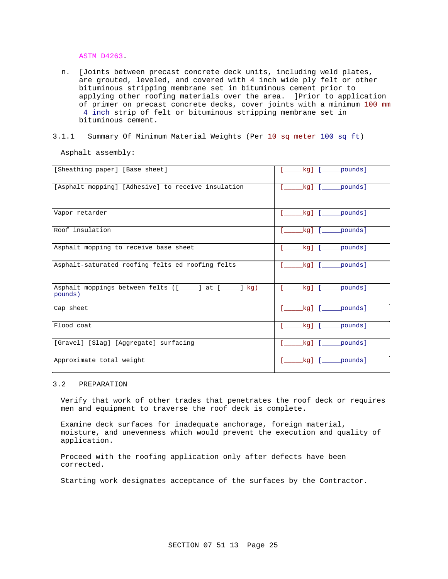ASTM D4263.

- n. [Joints between precast concrete deck units, including weld plates, are grouted, leveled, and covered with 4 inch wide ply felt or other bituminous stripping membrane set in bituminous cement prior to applying other roofing materials over the area. ]Prior to application of primer on precast concrete decks, cover joints with a minimum 100 mm 4 inch strip of felt or bituminous stripping membrane set in bituminous cement.
- 3.1.1 Summary Of Minimum Material Weights (Per 10 sq meter 100 sq ft)

Asphalt assembly:

| [Sheathing paper] [Base sheet]                                      | pounds]<br>kg] [      |
|---------------------------------------------------------------------|-----------------------|
| [Asphalt mopping] [Adhesive] to receive insulation                  | kg] [<br>pounds]      |
| Vapor retarder                                                      | pounds]<br>kg] [      |
| Roof insulation                                                     | pounds]<br>kg] [_____ |
| Asphalt mopping to receive base sheet                               | pounds]<br>kg] [____  |
| Asphalt-saturated roofing felts ed roofing felts                    | kg] [___<br>pounds]   |
| Asphalt moppings between felts $([- \_ ] at [- \_ ] kq)$<br>pounds) | pounds]               |
| Cap sheet                                                           | pounds]<br>kg] [      |
| Flood coat                                                          | pounds]<br>kg] [      |
| [Gravel] [Slag] [Aqqreqate] surfacing                               | kg]<br>pounds]        |
| Approximate total weight                                            | pounds]<br>kg]        |

# 3.2 PREPARATION

Verify that work of other trades that penetrates the roof deck or requires men and equipment to traverse the roof deck is complete.

Examine deck surfaces for inadequate anchorage, foreign material, moisture, and unevenness which would prevent the execution and quality of application.

Proceed with the roofing application only after defects have been corrected.

Starting work designates acceptance of the surfaces by the Contractor.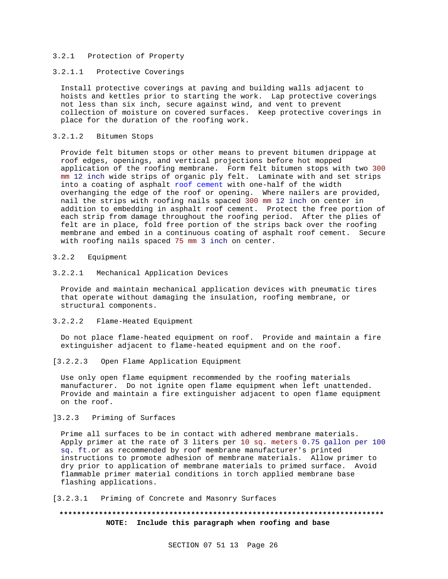# 3.2.1 Protection of Property

### 3.2.1.1 Protective Coverings

Install protective coverings at paving and building walls adjacent to hoists and kettles prior to starting the work. Lap protective coverings not less than six inch, secure against wind, and vent to prevent collection of moisture on covered surfaces. Keep protective coverings in place for the duration of the roofing work.

#### 3.2.1.2 Bitumen Stops

Provide felt bitumen stops or other means to prevent bitumen drippage at roof edges, openings, and vertical projections before hot mopped application of the roofing membrane. Form felt bitumen stops with two 300 mm 12 inch wide strips of organic ply felt. Laminate with and set strips into a coating of asphalt roof cement with one-half of the width overhanging the edge of the roof or opening. Where nailers are provided, nail the strips with roofing nails spaced 300 mm 12 inch on center in addition to embedding in asphalt roof cement. Protect the free portion of each strip from damage throughout the roofing period. After the plies of felt are in place, fold free portion of the strips back over the roofing membrane and embed in a continuous coating of asphalt roof cement. Secure with roofing nails spaced 75 mm 3 inch on center.

#### 3.2.2 Equipment

#### 3.2.2.1 Mechanical Application Devices

Provide and maintain mechanical application devices with pneumatic tires that operate without damaging the insulation, roofing membrane, or structural components.

#### 3.2.2.2 Flame-Heated Equipment

Do not place flame-heated equipment on roof. Provide and maintain a fire extinguisher adjacent to flame-heated equipment and on the roof.

[3.2.2.3 Open Flame Application Equipment

Use only open flame equipment recommended by the roofing materials manufacturer. Do not ignite open flame equipment when left unattended. Provide and maintain a fire extinguisher adjacent to open flame equipment on the roof.

#### ]3.2.3 Priming of Surfaces

Prime all surfaces to be in contact with adhered membrane materials. Apply primer at the rate of 3 liters per 10 sq. meters 0.75 gallon per 100 sq. ft.or as recommended by roof membrane manufacturer's printed instructions to promote adhesion of membrane materials. Allow primer to dry prior to application of membrane materials to primed surface. Avoid flammable primer material conditions in torch applied membrane base flashing applications.

[3.2.3.1 Priming of Concrete and Masonry Surfaces

# **\*\*\*\*\*\*\*\*\*\*\*\*\*\*\*\*\*\*\*\*\*\*\*\*\*\*\*\*\*\*\*\*\*\*\*\*\*\*\*\*\*\*\*\*\*\*\*\*\*\*\*\*\*\*\*\*\*\*\*\*\*\*\*\*\*\*\*\*\*\*\*\*\*\* NOTE: Include this paragraph when roofing and base**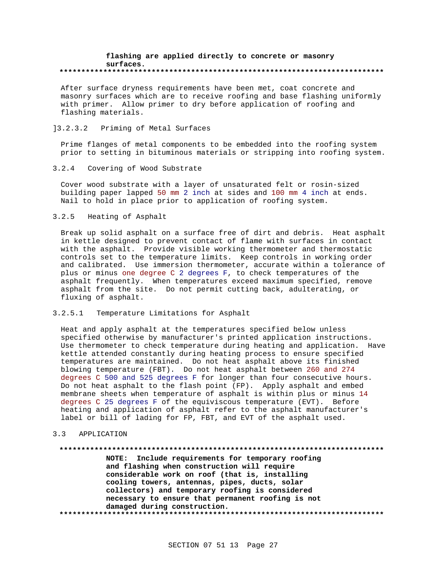#### **flashing are applied directly to concrete or masonry surfaces. \*\*\*\*\*\*\*\*\*\*\*\*\*\*\*\*\*\*\*\*\*\*\*\*\*\*\*\*\*\*\*\*\*\*\*\*\*\*\*\*\*\*\*\*\*\*\*\*\*\*\*\*\*\*\*\*\*\*\*\*\*\*\*\*\*\*\*\*\*\*\*\*\*\***

After surface dryness requirements have been met, coat concrete and masonry surfaces which are to receive roofing and base flashing uniformly with primer. Allow primer to dry before application of roofing and flashing materials.

#### ]3.2.3.2 Priming of Metal Surfaces

Prime flanges of metal components to be embedded into the roofing system prior to setting in bituminous materials or stripping into roofing system.

#### 3.2.4 Covering of Wood Substrate

Cover wood substrate with a layer of unsaturated felt or rosin-sized building paper lapped 50 mm 2 inch at sides and 100 mm 4 inch at ends. Nail to hold in place prior to application of roofing system.

# 3.2.5 Heating of Asphalt

Break up solid asphalt on a surface free of dirt and debris. Heat asphalt in kettle designed to prevent contact of flame with surfaces in contact with the asphalt. Provide visible working thermometer and thermostatic controls set to the temperature limits. Keep controls in working order and calibrated. Use immersion thermometer, accurate within a tolerance of plus or minus one degree C 2 degrees F, to check temperatures of the asphalt frequently. When temperatures exceed maximum specified, remove asphalt from the site. Do not permit cutting back, adulterating, or fluxing of asphalt.

#### 3.2.5.1 Temperature Limitations for Asphalt

Heat and apply asphalt at the temperatures specified below unless specified otherwise by manufacturer's printed application instructions. Use thermometer to check temperature during heating and application. Have kettle attended constantly during heating process to ensure specified temperatures are maintained. Do not heat asphalt above its finished blowing temperature (FBT). Do not heat asphalt between 260 and 274 degrees C 500 and 525 degrees F for longer than four consecutive hours. Do not heat asphalt to the flash point (FP). Apply asphalt and embed membrane sheets when temperature of asphalt is within plus or minus 14 degrees C 25 degrees F of the equiviscous temperature (EVT). Before heating and application of asphalt refer to the asphalt manufacturer's label or bill of lading for FP, FBT, and EVT of the asphalt used.

### 3.3 APPLICATION

**\*\*\*\*\*\*\*\*\*\*\*\*\*\*\*\*\*\*\*\*\*\*\*\*\*\*\*\*\*\*\*\*\*\*\*\*\*\*\*\*\*\*\*\*\*\*\*\*\*\*\*\*\*\*\*\*\*\*\*\*\*\*\*\*\*\*\*\*\*\*\*\*\*\* NOTE: Include requirements for temporary roofing and flashing when construction will require considerable work on roof (that is, installing cooling towers, antennas, pipes, ducts, solar collectors) and temporary roofing is considered necessary to ensure that permanent roofing is not damaged during construction. \*\*\*\*\*\*\*\*\*\*\*\*\*\*\*\*\*\*\*\*\*\*\*\*\*\*\*\*\*\*\*\*\*\*\*\*\*\*\*\*\*\*\*\*\*\*\*\*\*\*\*\*\*\*\*\*\*\*\*\*\*\*\*\*\*\*\*\*\*\*\*\*\*\***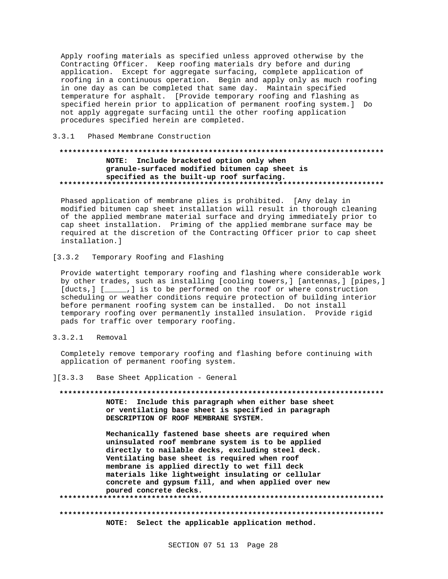Apply roofing materials as specified unless approved otherwise by the Contracting Officer. Keep roofing materials dry before and during application. Except for aggregate surfacing, complete application of roofing in a continuous operation. Begin and apply only as much roofing in one day as can be completed that same day. Maintain specified temperature for asphalt. [Provide temporary roofing and flashing as specified herein prior to application of permanent roofing system.] Do not apply aggregate surfacing until the other roofing application procedures specified herein are completed.

#### $3.3.1$ Phased Membrane Construction

# NOTE: Include bracketed option only when granule-surfaced modified bitumen cap sheet is specified as the built-up roof surfacing.

Phased application of membrane plies is prohibited. [Any delay in modified bitumen cap sheet installation will result in thorough cleaning of the applied membrane material surface and drying immediately prior to cap sheet installation. Priming of the applied membrane surface may be required at the discretion of the Contracting Officer prior to cap sheet installation.]

 $\begin{array}{c} \boxed{3.3.2} \end{array}$ Temporary Roofing and Flashing

Provide watertight temporary roofing and flashing where considerable work by other trades, such as installing [cooling towers,] [antennas,] [pipes,] [ducts,] [\_\_\_\_\_,] is to be performed on the roof or where construction scheduling or weather conditions require protection of building interior before permanent roofing system can be installed. Do not install temporary roofing over permanently installed insulation. Provide rigid pads for traffic over temporary roofing.

 $3.3.2.1$ Removal

> Completely remove temporary roofing and flashing before continuing with application of permanent roofing system.

 $]$ [3.3.3] Base Sheet Application - General

#### 

NOTE: Include this paragraph when either base sheet or ventilating base sheet is specified in paragraph DESCRIPTION OF ROOF MEMBRANE SYSTEM.

Mechanically fastened base sheets are required when uninsulated roof membrane system is to be applied directly to nailable decks, excluding steel deck. Ventilating base sheet is required when roof membrane is applied directly to wet fill deck materials like lightweight insulating or cellular concrete and gypsum fill, and when applied over new poured concrete decks. 

NOTE: Select the applicable application method.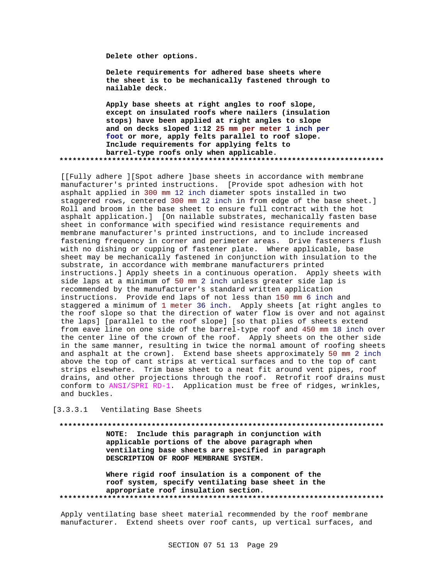**Delete other options.**

**Delete requirements for adhered base sheets where the sheet is to be mechanically fastened through to nailable deck.**

**Apply base sheets at right angles to roof slope, except on insulated roofs where nailers (insulation stops) have been applied at right angles to slope and on decks sloped 1:12 25 mm per meter 1 inch per foot or more, apply felts parallel to roof slope. Include requirements for applying felts to barrel-type roofs only when applicable. \*\*\*\*\*\*\*\*\*\*\*\*\*\*\*\*\*\*\*\*\*\*\*\*\*\*\*\*\*\*\*\*\*\*\*\*\*\*\*\*\*\*\*\*\*\*\*\*\*\*\*\*\*\*\*\*\*\*\*\*\*\*\*\*\*\*\*\*\*\*\*\*\*\***

[[Fully adhere ][Spot adhere ]base sheets in accordance with membrane manufacturer's printed instructions. [Provide spot adhesion with hot asphalt applied in 300 mm 12 inch diameter spots installed in two staggered rows, centered 300 mm 12 inch in from edge of the base sheet.] Roll and broom in the base sheet to ensure full contract with the hot asphalt application.] [On nailable substrates, mechanically fasten base sheet in conformance with specified wind resistance requirements and membrane manufacturer's printed instructions, and to include increased fastening frequency in corner and perimeter areas. Drive fasteners flush with no dishing or cupping of fastener plate. Where applicable, base sheet may be mechanically fastened in conjunction with insulation to the substrate, in accordance with membrane manufacturers printed instructions.] Apply sheets in a continuous operation. Apply sheets with side laps at a minimum of 50 mm 2 inch unless greater side lap is recommended by the manufacturer's standard written application instructions. Provide end laps of not less than 150 mm 6 inch and staggered a minimum of 1 meter 36 inch. Apply sheets [at right angles to the roof slope so that the direction of water flow is over and not against the laps] [parallel to the roof slope] [so that plies of sheets extend from eave line on one side of the barrel-type roof and 450 mm 18 inch over the center line of the crown of the roof. Apply sheets on the other side in the same manner, resulting in twice the normal amount of roofing sheets and asphalt at the crown]. Extend base sheets approximately 50 mm 2 inch above the top of cant strips at vertical surfaces and to the top of cant strips elsewhere. Trim base sheet to a neat fit around vent pipes, roof drains, and other projections through the roof. Retrofit roof drains must conform to ANSI/SPRI RD-1. Application must be free of ridges, wrinkles, and buckles.

[3.3.3.1 Ventilating Base Sheets

**\*\*\*\*\*\*\*\*\*\*\*\*\*\*\*\*\*\*\*\*\*\*\*\*\*\*\*\*\*\*\*\*\*\*\*\*\*\*\*\*\*\*\*\*\*\*\*\*\*\*\*\*\*\*\*\*\*\*\*\*\*\*\*\*\*\*\*\*\*\*\*\*\*\* NOTE: Include this paragraph in conjunction with applicable portions of the above paragraph when ventilating base sheets are specified in paragraph DESCRIPTION OF ROOF MEMBRANE SYSTEM.**

**Where rigid roof insulation is a component of the roof system, specify ventilating base sheet in the appropriate roof insulation section. \*\*\*\*\*\*\*\*\*\*\*\*\*\*\*\*\*\*\*\*\*\*\*\*\*\*\*\*\*\*\*\*\*\*\*\*\*\*\*\*\*\*\*\*\*\*\*\*\*\*\*\*\*\*\*\*\*\*\*\*\*\*\*\*\*\*\*\*\*\*\*\*\*\***

Apply ventilating base sheet material recommended by the roof membrane manufacturer. Extend sheets over roof cants, up vertical surfaces, and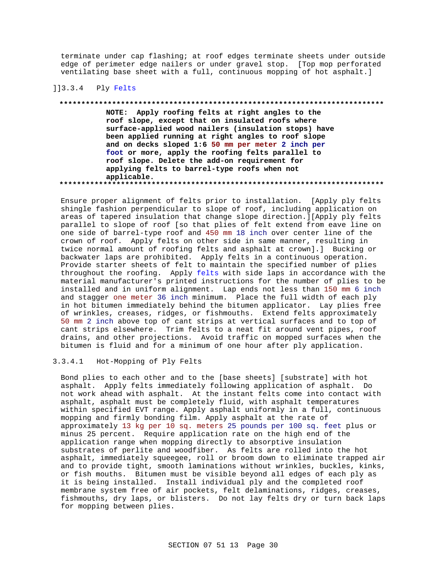terminate under cap flashing; at roof edges terminate sheets under outside edge of perimeter edge nailers or under gravel stop. [Top mop perforated ventilating base sheet with a full, continuous mopping of hot asphalt.]

# ]]3.3.4 Ply Felts

# **\*\*\*\*\*\*\*\*\*\*\*\*\*\*\*\*\*\*\*\*\*\*\*\*\*\*\*\*\*\*\*\*\*\*\*\*\*\*\*\*\*\*\*\*\*\*\*\*\*\*\*\*\*\*\*\*\*\*\*\*\*\*\*\*\*\*\*\*\*\*\*\*\*\***

**NOTE: Apply roofing felts at right angles to the roof slope, except that on insulated roofs where surface-applied wood nailers (insulation stops) have been applied running at right angles to roof slope and on decks sloped 1:6 50 mm per meter 2 inch per foot or more, apply the roofing felts parallel to roof slope. Delete the add-on requirement for applying felts to barrel-type roofs when not applicable. \*\*\*\*\*\*\*\*\*\*\*\*\*\*\*\*\*\*\*\*\*\*\*\*\*\*\*\*\*\*\*\*\*\*\*\*\*\*\*\*\*\*\*\*\*\*\*\*\*\*\*\*\*\*\*\*\*\*\*\*\*\*\*\*\*\*\*\*\*\*\*\*\*\***

Ensure proper alignment of felts prior to installation. [Apply ply felts shingle fashion perpendicular to slope of roof, including application on areas of tapered insulation that change slope direction.][Apply ply felts parallel to slope of roof [so that plies of felt extend from eave line on one side of barrel-type roof and 450 mm 18 inch over center line of the crown of roof. Apply felts on other side in same manner, resulting in twice normal amount of roofing felts and asphalt at crown].] Bucking or backwater laps are prohibited. Apply felts in a continuous operation. Provide starter sheets of felt to maintain the specified number of plies throughout the roofing. Apply felts with side laps in accordance with the material manufacturer's printed instructions for the number of plies to be installed and in uniform alignment. Lap ends not less than 150 mm 6 inch and stagger one meter 36 inch minimum. Place the full width of each ply in hot bitumen immediately behind the bitumen applicator. Lay plies free of wrinkles, creases, ridges, or fishmouths. Extend felts approximately 50 mm 2 inch above top of cant strips at vertical surfaces and to top of cant strips elsewhere. Trim felts to a neat fit around vent pipes, roof drains, and other projections. Avoid traffic on mopped surfaces when the bitumen is fluid and for a minimum of one hour after ply application.

### 3.3.4.1 Hot-Mopping of Ply Felts

Bond plies to each other and to the [base sheets] [substrate] with hot asphalt. Apply felts immediately following application of asphalt. Do not work ahead with asphalt. At the instant felts come into contact with asphalt, asphalt must be completely fluid, with asphalt temperatures within specified EVT range. Apply asphalt uniformly in a full, continuous mopping and firmly bonding film. Apply asphalt at the rate of approximately 13 kg per 10 sq. meters 25 pounds per 100 sq. feet plus or minus 25 percent. Require application rate on the high end of the application range when mopping directly to absorptive insulation substrates of perlite and woodfiber. As felts are rolled into the hot asphalt, immediately squeegee, roll or broom down to eliminate trapped air and to provide tight, smooth laminations without wrinkles, buckles, kinks, or fish mouths. Bitumen must be visible beyond all edges of each ply as it is being installed. Install individual ply and the completed roof membrane system free of air pockets, felt delaminations, ridges, creases, fishmouths, dry laps, or blisters. Do not lay felts dry or turn back laps for mopping between plies.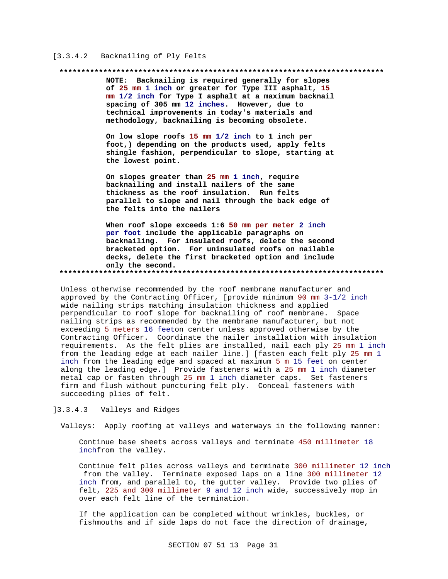#### $[3.3.4.2]$ Backnailing of Ply Felts

NOTE: Backnailing is required generally for slopes of 25 mm 1 inch or greater for Type III asphalt, 15 mm 1/2 inch for Type I asphalt at a maximum backnail spacing of 305 mm 12 inches. However, due to technical improvements in today's materials and methodology, backnailing is becoming obsolete.

On low slope roofs 15 mm 1/2 inch to 1 inch per foot, ) depending on the products used, apply felts shingle fashion, perpendicular to slope, starting at the lowest point.

On slopes greater than 25 mm 1 inch, require backnailing and install nailers of the same thickness as the roof insulation. Run felts parallel to slope and nail through the back edge of the felts into the nailers

When roof slope exceeds 1:6 50 mm per meter 2 inch per foot include the applicable paragraphs on backnailing. For insulated roofs, delete the second bracketed option. For uninsulated roofs on nailable decks, delete the first bracketed option and include only the second. 

Unless otherwise recommended by the roof membrane manufacturer and approved by the Contracting Officer, [provide minimum 90 mm  $3-1/2$  inch wide nailing strips matching insulation thickness and applied perpendicular to roof slope for backnailing of roof membrane. Space nailing strips as recommended by the membrane manufacturer, but not exceeding 5 meters 16 feeton center unless approved otherwise by the Contracting Officer. Coordinate the nailer installation with insulation requirements. As the felt plies are installed, nail each ply 25 mm 1 inch from the leading edge at each nailer line.] [fasten each felt ply 25 mm 1 inch from the leading edge and spaced at maximum 5 m 15 feet on center along the leading edge.] Provide fasteners with a 25 mm 1 inch diameter metal cap or fasten through 25 mm 1 inch diameter caps. Set fasteners firm and flush without puncturing felt ply. Conceal fasteners with succeeding plies of felt.

 $]3.3.4.3$ Valleys and Ridges

Valleys: Apply roofing at valleys and waterways in the following manner:

Continue base sheets across valleys and terminate 450 millimeter 18 inchfrom the valley.

Continue felt plies across valleys and terminate 300 millimeter 12 inch from the valley. Terminate exposed laps on a line 300 millimeter 12 inch from, and parallel to, the gutter valley. Provide two plies of felt, 225 and 300 millimeter 9 and 12 inch wide, successively mop in over each felt line of the termination.

If the application can be completed without wrinkles, buckles, or fishmouths and if side laps do not face the direction of drainage,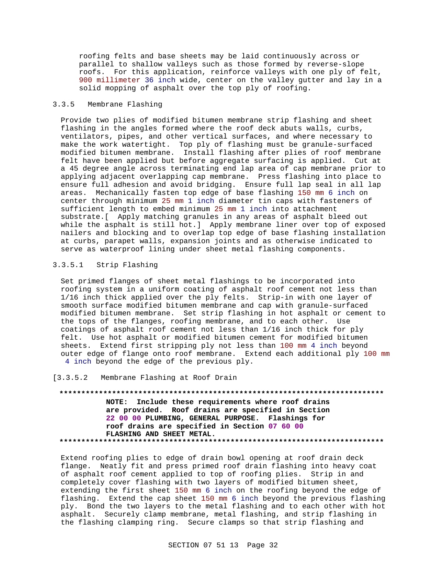roofing felts and base sheets may be laid continuously across or parallel to shallow valleys such as those formed by reverse-slope roofs. For this application, reinforce valleys with one ply of felt, 900 millimeter 36 inch wide, center on the valley gutter and lay in a solid mopping of asphalt over the top ply of roofing.

### 3.3.5 Membrane Flashing

Provide two plies of modified bitumen membrane strip flashing and sheet flashing in the angles formed where the roof deck abuts walls, curbs, ventilators, pipes, and other vertical surfaces, and where necessary to make the work watertight. Top ply of flashing must be granule-surfaced modified bitumen membrane. Install flashing after plies of roof membrane felt have been applied but before aggregate surfacing is applied. Cut at a 45 degree angle across terminating end lap area of cap membrane prior to applying adjacent overlapping cap membrane. Press flashing into place to ensure full adhesion and avoid bridging. Ensure full lap seal in all lap areas. Mechanically fasten top edge of base flashing 150 mm 6 inch on center through minimum 25 mm 1 inch diameter tin caps with fasteners of sufficient length to embed minimum 25 mm 1 inch into attachment substrate.[ Apply matching granules in any areas of asphalt bleed out while the asphalt is still hot.] Apply membrane liner over top of exposed nailers and blocking and to overlap top edge of base flashing installation at curbs, parapet walls, expansion joints and as otherwise indicated to serve as waterproof lining under sheet metal flashing components.

### 3.3.5.1 Strip Flashing

Set primed flanges of sheet metal flashings to be incorporated into roofing system in a uniform coating of asphalt roof cement not less than 1/16 inch thick applied over the ply felts. Strip-in with one layer of smooth surface modified bitumen membrane and cap with granule-surfaced modified bitumen membrane. Set strip flashing in hot asphalt or cement to the tops of the flanges, roofing membrane, and to each other. Use coatings of asphalt roof cement not less than 1/16 inch thick for ply felt. Use hot asphalt or modified bitumen cement for modified bitumen sheets. Extend first stripping ply not less than 100 mm 4 inch beyond outer edge of flange onto roof membrane. Extend each additional ply 100 mm 4 inch beyond the edge of the previous ply.

[3.3.5.2 Membrane Flashing at Roof Drain

# **\*\*\*\*\*\*\*\*\*\*\*\*\*\*\*\*\*\*\*\*\*\*\*\*\*\*\*\*\*\*\*\*\*\*\*\*\*\*\*\*\*\*\*\*\*\*\*\*\*\*\*\*\*\*\*\*\*\*\*\*\*\*\*\*\*\*\*\*\*\*\*\*\*\* NOTE: Include these requirements where roof drains are provided. Roof drains are specified in Section 22 00 00 PLUMBING, GENERAL PURPOSE. Flashings for roof drains are specified in Section 07 60 00 FLASHING AND SHEET METAL. \*\*\*\*\*\*\*\*\*\*\*\*\*\*\*\*\*\*\*\*\*\*\*\*\*\*\*\*\*\*\*\*\*\*\*\*\*\*\*\*\*\*\*\*\*\*\*\*\*\*\*\*\*\*\*\*\*\*\*\*\*\*\*\*\*\*\*\*\*\*\*\*\*\***

Extend roofing plies to edge of drain bowl opening at roof drain deck flange. Neatly fit and press primed roof drain flashing into heavy coat of asphalt roof cement applied to top of roofing plies. Strip in and completely cover flashing with two layers of modified bitumen sheet, extending the first sheet 150 mm 6 inch on the roofing beyond the edge of flashing. Extend the cap sheet 150 mm 6 inch beyond the previous flashing ply. Bond the two layers to the metal flashing and to each other with hot asphalt. Securely clamp membrane, metal flashing, and strip flashing in the flashing clamping ring. Secure clamps so that strip flashing and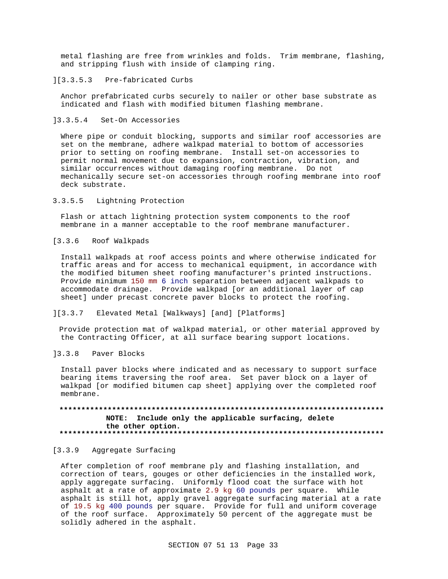metal flashing are free from wrinkles and folds. Trim membrane, flashing, and stripping flush with inside of clamping ring.

#### ][3.3.5.3 Pre-fabricated Curbs

Anchor prefabricated curbs securely to nailer or other base substrate as indicated and flash with modified bitumen flashing membrane.

#### ]3.3.5.4 Set-On Accessories

Where pipe or conduit blocking, supports and similar roof accessories are set on the membrane, adhere walkpad material to bottom of accessories prior to setting on roofing membrane. Install set-on accessories to permit normal movement due to expansion, contraction, vibration, and similar occurrences without damaging roofing membrane. Do not mechanically secure set-on accessories through roofing membrane into roof deck substrate.

#### 3.3.5.5 Lightning Protection

Flash or attach lightning protection system components to the roof membrane in a manner acceptable to the roof membrane manufacturer.

#### [3.3.6 Roof Walkpads

Install walkpads at roof access points and where otherwise indicated for traffic areas and for access to mechanical equipment, in accordance with the modified bitumen sheet roofing manufacturer's printed instructions. Provide minimum 150 mm 6 inch separation between adjacent walkpads to accommodate drainage. Provide walkpad [or an additional layer of cap sheet] under precast concrete paver blocks to protect the roofing.

#### ][3.3.7 Elevated Metal [Walkways] [and] [Platforms]

Provide protection mat of walkpad material, or other material approved by the Contracting Officer, at all surface bearing support locations.

#### ]3.3.8 Paver Blocks

Install paver blocks where indicated and as necessary to support surface bearing items traversing the roof area. Set paver block on a layer of walkpad [or modified bitumen cap sheet] applying over the completed roof membrane.

### **\*\*\*\*\*\*\*\*\*\*\*\*\*\*\*\*\*\*\*\*\*\*\*\*\*\*\*\*\*\*\*\*\*\*\*\*\*\*\*\*\*\*\*\*\*\*\*\*\*\*\*\*\*\*\*\*\*\*\*\*\*\*\*\*\*\*\*\*\*\*\*\*\*\* NOTE: Include only the applicable surfacing, delete the other option. \*\*\*\*\*\*\*\*\*\*\*\*\*\*\*\*\*\*\*\*\*\*\*\*\*\*\*\*\*\*\*\*\*\*\*\*\*\*\*\*\*\*\*\*\*\*\*\*\*\*\*\*\*\*\*\*\*\*\*\*\*\*\*\*\*\*\*\*\*\*\*\*\*\***

### [3.3.9 Aggregate Surfacing

After completion of roof membrane ply and flashing installation, and correction of tears, gouges or other deficiencies in the installed work, apply aggregate surfacing. Uniformly flood coat the surface with hot asphalt at a rate of approximate 2.9 kg 60 pounds per square. While asphalt is still hot, apply gravel aggregate surfacing material at a rate of 19.5 kg 400 pounds per square. Provide for full and uniform coverage of the roof surface. Approximately 50 percent of the aggregate must be solidly adhered in the asphalt.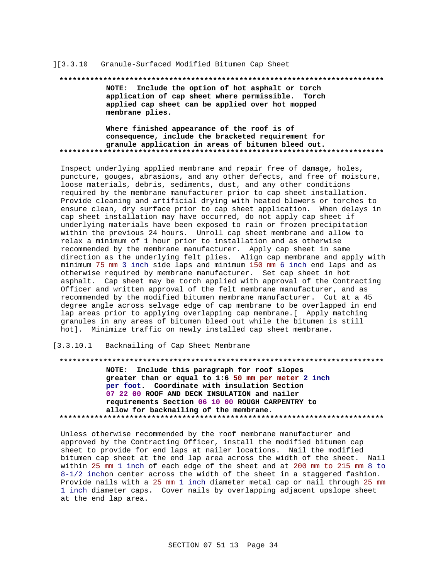#### ][3.3.10 Granule-Surfaced Modified Bitumen Cap Sheet

#### 

NOTE: Include the option of hot asphalt or torch application of cap sheet where permissible. Torch applied cap sheet can be applied over hot mopped membrane plies.

#### Where finished appearance of the roof is of consequence, include the bracketed requirement for granule application in areas of bitumen bleed out.

Inspect underlying applied membrane and repair free of damage, holes, puncture, gouges, abrasions, and any other defects, and free of moisture, loose materials, debris, sediments, dust, and any other conditions required by the membrane manufacturer prior to cap sheet installation. Provide cleaning and artificial drying with heated blowers or torches to ensure clean, dry surface prior to cap sheet application. When delays in cap sheet installation may have occurred, do not apply cap sheet if underlying materials have been exposed to rain or frozen precipitation within the previous 24 hours. Unroll cap sheet membrane and allow to relax a minimum of 1 hour prior to installation and as otherwise recommended by the membrane manufacturer. Apply cap sheet in same direction as the underlying felt plies. Align cap membrane and apply with minimum 75 mm 3 inch side laps and minimum 150 mm 6 inch end laps and as otherwise required by membrane manufacturer. Set cap sheet in hot asphalt. Cap sheet may be torch applied with approval of the Contracting Officer and written approval of the felt membrane manufacturer, and as recommended by the modified bitumen membrane manufacturer. Cut at a 45 degree angle across selvage edge of cap membrane to be overlapped in end lap areas prior to applying overlapping cap membrane. [Apply matching granules in any areas of bitumen bleed out while the bitumen is still hot]. Minimize traffic on newly installed cap sheet membrane.

[3.3.10.1 Backnailing of Cap Sheet Membrane

# NOTE: Include this paragraph for roof slopes greater than or equal to 1:6 50 mm per meter 2 inch per foot. Coordinate with insulation Section 07 22 00 ROOF AND DECK INSULATION and nailer requirements Section 06 10 00 ROUGH CARPENTRY to allow for backnailing of the membrane.

Unless otherwise recommended by the roof membrane manufacturer and approved by the Contracting Officer, install the modified bitumen cap sheet to provide for end laps at nailer locations. Nail the modified bitumen cap sheet at the end lap area across the width of the sheet. Nail within 25 mm 1 inch of each edge of the sheet and at 200 mm to 215 mm 8 to  $8-1/2$  inchon center across the width of the sheet in a staggered fashion. Provide nails with a 25 mm 1 inch diameter metal cap or nail through 25 mm 1 inch diameter caps. Cover nails by overlapping adjacent upslope sheet at the end lap area.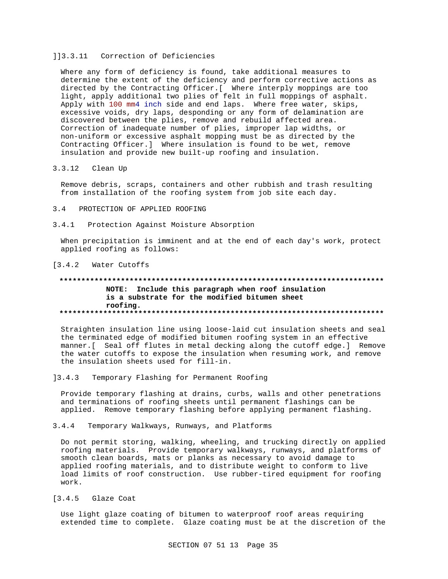#### ]]3.3.11 Correction of Deficiencies

Where any form of deficiency is found, take additional measures to determine the extent of the deficiency and perform corrective actions as directed by the Contracting Officer.[ Where interply moppings are too light, apply additional two plies of felt in full moppings of asphalt. Apply with 100 mm4 inch side and end laps. Where free water, skips, excessive voids, dry laps, desponding or any form of delamination are discovered between the plies, remove and rebuild affected area. Correction of inadequate number of plies, improper lap widths, or non-uniform or excessive asphalt mopping must be as directed by the Contracting Officer.] Where insulation is found to be wet, remove insulation and provide new built-up roofing and insulation.

#### 3.3.12 Clean Up

Remove debris, scraps, containers and other rubbish and trash resulting from installation of the roofing system from job site each day.

- 3.4 PROTECTION OF APPLIED ROOFING
- 3.4.1 Protection Against Moisture Absorption

When precipitation is imminent and at the end of each day's work, protect applied roofing as follows:

#### [3.4.2 Water Cutoffs

### **\*\*\*\*\*\*\*\*\*\*\*\*\*\*\*\*\*\*\*\*\*\*\*\*\*\*\*\*\*\*\*\*\*\*\*\*\*\*\*\*\*\*\*\*\*\*\*\*\*\*\*\*\*\*\*\*\*\*\*\*\*\*\*\*\*\*\*\*\*\*\*\*\*\* NOTE: Include this paragraph when roof insulation is a substrate for the modified bitumen sheet roofing. \*\*\*\*\*\*\*\*\*\*\*\*\*\*\*\*\*\*\*\*\*\*\*\*\*\*\*\*\*\*\*\*\*\*\*\*\*\*\*\*\*\*\*\*\*\*\*\*\*\*\*\*\*\*\*\*\*\*\*\*\*\*\*\*\*\*\*\*\*\*\*\*\*\***

Straighten insulation line using loose-laid cut insulation sheets and seal the terminated edge of modified bitumen roofing system in an effective manner.[ Seal off flutes in metal decking along the cutoff edge.] Remove the water cutoffs to expose the insulation when resuming work, and remove the insulation sheets used for fill-in.

]3.4.3 Temporary Flashing for Permanent Roofing

Provide temporary flashing at drains, curbs, walls and other penetrations and terminations of roofing sheets until permanent flashings can be applied. Remove temporary flashing before applying permanent flashing.

3.4.4 Temporary Walkways, Runways, and Platforms

Do not permit storing, walking, wheeling, and trucking directly on applied roofing materials. Provide temporary walkways, runways, and platforms of smooth clean boards, mats or planks as necessary to avoid damage to applied roofing materials, and to distribute weight to conform to live load limits of roof construction. Use rubber-tired equipment for roofing work.

[3.4.5 Glaze Coat

Use light glaze coating of bitumen to waterproof roof areas requiring extended time to complete. Glaze coating must be at the discretion of the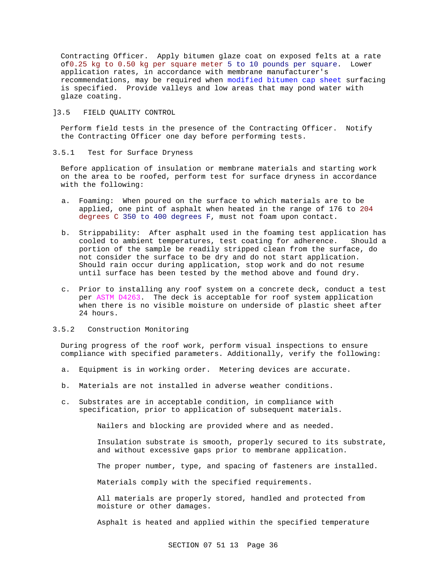Contracting Officer. Apply bitumen glaze coat on exposed felts at a rate of0.25 kg to 0.50 kg per square meter 5 to 10 pounds per square. Lower application rates, in accordance with membrane manufacturer's recommendations, may be required when modified bitumen cap sheet surfacing is specified. Provide valleys and low areas that may pond water with glaze coating.

]3.5 FIELD QUALITY CONTROL

Perform field tests in the presence of the Contracting Officer. Notify the Contracting Officer one day before performing tests.

3.5.1 Test for Surface Dryness

Before application of insulation or membrane materials and starting work on the area to be roofed, perform test for surface dryness in accordance with the following:

- a. Foaming: When poured on the surface to which materials are to be applied, one pint of asphalt when heated in the range of 176 to 204 degrees C 350 to 400 degrees F, must not foam upon contact.
- b. Strippability: After asphalt used in the foaming test application has cooled to ambient temperatures, test coating for adherence. Should a portion of the sample be readily stripped clean from the surface, do not consider the surface to be dry and do not start application. Should rain occur during application, stop work and do not resume until surface has been tested by the method above and found dry.
- c. Prior to installing any roof system on a concrete deck, conduct a test per ASTM D4263. The deck is acceptable for roof system application when there is no visible moisture on underside of plastic sheet after 24 hours.
- 3.5.2 Construction Monitoring

During progress of the roof work, perform visual inspections to ensure compliance with specified parameters. Additionally, verify the following:

- a. Equipment is in working order. Metering devices are accurate.
- b. Materials are not installed in adverse weather conditions.
- c. Substrates are in acceptable condition, in compliance with specification, prior to application of subsequent materials.

Nailers and blocking are provided where and as needed.

 Insulation substrate is smooth, properly secured to its substrate, and without excessive gaps prior to membrane application.

The proper number, type, and spacing of fasteners are installed.

Materials comply with the specified requirements.

 All materials are properly stored, handled and protected from moisture or other damages.

Asphalt is heated and applied within the specified temperature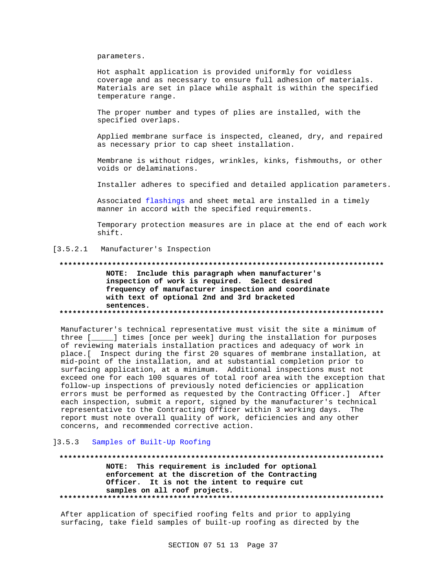parameters.

 Hot asphalt application is provided uniformly for voidless coverage and as necessary to ensure full adhesion of materials. Materials are set in place while asphalt is within the specified temperature range.

 The proper number and types of plies are installed, with the specified overlaps.

 Applied membrane surface is inspected, cleaned, dry, and repaired as necessary prior to cap sheet installation.

 Membrane is without ridges, wrinkles, kinks, fishmouths, or other voids or delaminations.

Installer adheres to specified and detailed application parameters.

 Associated flashings and sheet metal are installed in a timely manner in accord with the specified requirements.

 Temporary protection measures are in place at the end of each work shift.

[3.5.2.1 Manufacturer's Inspection

# **\*\*\*\*\*\*\*\*\*\*\*\*\*\*\*\*\*\*\*\*\*\*\*\*\*\*\*\*\*\*\*\*\*\*\*\*\*\*\*\*\*\*\*\*\*\*\*\*\*\*\*\*\*\*\*\*\*\*\*\*\*\*\*\*\*\*\*\*\*\*\*\*\*\* NOTE: Include this paragraph when manufacturer's inspection of work is required. Select desired frequency of manufacturer inspection and coordinate with text of optional 2nd and 3rd bracketed sentences. \*\*\*\*\*\*\*\*\*\*\*\*\*\*\*\*\*\*\*\*\*\*\*\*\*\*\*\*\*\*\*\*\*\*\*\*\*\*\*\*\*\*\*\*\*\*\*\*\*\*\*\*\*\*\*\*\*\*\*\*\*\*\*\*\*\*\*\*\*\*\*\*\*\***

Manufacturer's technical representative must visit the site a minimum of three [\_\_\_\_\_] times [once per week] during the installation for purposes of reviewing materials installation practices and adequacy of work in place.[ Inspect during the first 20 squares of membrane installation, at mid-point of the installation, and at substantial completion prior to surfacing application, at a minimum. Additional inspections must not exceed one for each 100 squares of total roof area with the exception that follow-up inspections of previously noted deficiencies or application errors must be performed as requested by the Contracting Officer.] After each inspection, submit a report, signed by the manufacturer's technical representative to the Contracting Officer within 3 working days. The report must note overall quality of work, deficiencies and any other concerns, and recommended corrective action.

### ]3.5.3 Samples of Built-Up Roofing

**\*\*\*\*\*\*\*\*\*\*\*\*\*\*\*\*\*\*\*\*\*\*\*\*\*\*\*\*\*\*\*\*\*\*\*\*\*\*\*\*\*\*\*\*\*\*\*\*\*\*\*\*\*\*\*\*\*\*\*\*\*\*\*\*\*\*\*\*\*\*\*\*\*\* NOTE: This requirement is included for optional enforcement at the discretion of the Contracting Officer. It is not the intent to require cut samples on all roof projects. \*\*\*\*\*\*\*\*\*\*\*\*\*\*\*\*\*\*\*\*\*\*\*\*\*\*\*\*\*\*\*\*\*\*\*\*\*\*\*\*\*\*\*\*\*\*\*\*\*\*\*\*\*\*\*\*\*\*\*\*\*\*\*\*\*\*\*\*\*\*\*\*\*\***

After application of specified roofing felts and prior to applying surfacing, take field samples of built-up roofing as directed by the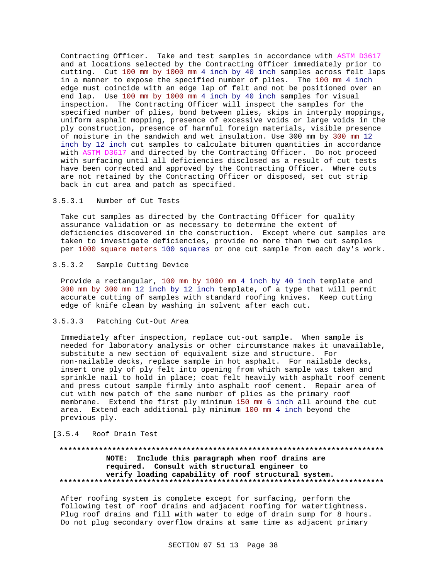Contracting Officer. Take and test samples in accordance with ASTM D3617 and at locations selected by the Contracting Officer immediately prior to cutting. Cut 100 mm by 1000 mm 4 inch by 40 inch samples across felt laps in a manner to expose the specified number of plies. The 100 mm 4 inch edge must coincide with an edge lap of felt and not be positioned over an end lap. Use 100 mm by 1000 mm 4 inch by 40 inch samples for visual inspection. The Contracting Officer will inspect the samples for the specified number of plies, bond between plies, skips in interply moppings, uniform asphalt mopping, presence of excessive voids or large voids in the ply construction, presence of harmful foreign materials, visible presence of moisture in the sandwich and wet insulation. Use 300 mm by 300 mm 12 inch by 12 inch cut samples to calculate bitumen quantities in accordance with ASTM D3617 and directed by the Contracting Officer. Do not proceed with surfacing until all deficiencies disclosed as a result of cut tests have been corrected and approved by the Contracting Officer. Where cuts are not retained by the Contracting Officer or disposed, set cut strip back in cut area and patch as specified.

#### 3.5.3.1 Number of Cut Tests

Take cut samples as directed by the Contracting Officer for quality assurance validation or as necessary to determine the extent of deficiencies discovered in the construction. Except where cut samples are taken to investigate deficiencies, provide no more than two cut samples per 1000 square meters 100 squares or one cut sample from each day's work.

### 3.5.3.2 Sample Cutting Device

Provide a rectangular, 100 mm by 1000 mm 4 inch by 40 inch template and 300 mm by 300 mm 12 inch by 12 inch template, of a type that will permit accurate cutting of samples with standard roofing knives. Keep cutting edge of knife clean by washing in solvent after each cut.

#### 3.5.3.3 Patching Cut-Out Area

Immediately after inspection, replace cut-out sample. When sample is needed for laboratory analysis or other circumstance makes it unavailable, substitute a new section of equivalent size and structure. For non-nailable decks, replace sample in hot asphalt. For nailable decks, insert one ply of ply felt into opening from which sample was taken and sprinkle nail to hold in place; coat felt heavily with asphalt roof cement and press cutout sample firmly into asphalt roof cement. Repair area of cut with new patch of the same number of plies as the primary roof membrane. Extend the first ply minimum 150 mm 6 inch all around the cut area. Extend each additional ply minimum 100 mm 4 inch beyond the previous ply.

### [3.5.4 Roof Drain Test

# **\*\*\*\*\*\*\*\*\*\*\*\*\*\*\*\*\*\*\*\*\*\*\*\*\*\*\*\*\*\*\*\*\*\*\*\*\*\*\*\*\*\*\*\*\*\*\*\*\*\*\*\*\*\*\*\*\*\*\*\*\*\*\*\*\*\*\*\*\*\*\*\*\*\* NOTE: Include this paragraph when roof drains are required. Consult with structural engineer to verify loading capability of roof structural system. \*\*\*\*\*\*\*\*\*\*\*\*\*\*\*\*\*\*\*\*\*\*\*\*\*\*\*\*\*\*\*\*\*\*\*\*\*\*\*\*\*\*\*\*\*\*\*\*\*\*\*\*\*\*\*\*\*\*\*\*\*\*\*\*\*\*\*\*\*\*\*\*\*\***

After roofing system is complete except for surfacing, perform the following test of roof drains and adjacent roofing for watertightness. Plug roof drains and fill with water to edge of drain sump for 8 hours. Do not plug secondary overflow drains at same time as adjacent primary